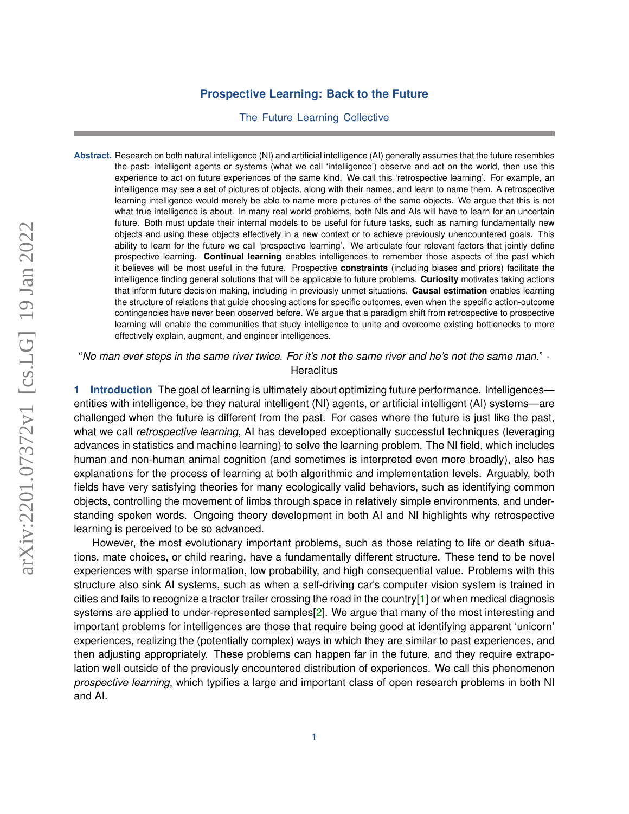## **Prospective Learning: Back to the Future**

The Future Learning Collective

**Abstract.** Research on both natural intelligence (NI) and artificial intelligence (AI) generally assumes that the future resembles the past: intelligent agents or systems (what we call 'intelligence') observe and act on the world, then use this experience to act on future experiences of the same kind. We call this 'retrospective learning'. For example, an intelligence may see a set of pictures of objects, along with their names, and learn to name them. A retrospective learning intelligence would merely be able to name more pictures of the same objects. We argue that this is not what true intelligence is about. In many real world problems, both NIs and AIs will have to learn for an uncertain future. Both must update their internal models to be useful for future tasks, such as naming fundamentally new objects and using these objects effectively in a new context or to achieve previously unencountered goals. This ability to learn for the future we call 'prospective learning'. We articulate four relevant factors that jointly define prospective learning. **Continual learning** enables intelligences to remember those aspects of the past which it believes will be most useful in the future. Prospective **constraints** (including biases and priors) facilitate the intelligence finding general solutions that will be applicable to future problems. **Curiosity** motivates taking actions that inform future decision making, including in previously unmet situations. **Causal estimation** enables learning the structure of relations that guide choosing actions for specific outcomes, even when the specific action-outcome contingencies have never been observed before. We argue that a paradigm shift from retrospective to prospective learning will enable the communities that study intelligence to unite and overcome existing bottlenecks to more effectively explain, augment, and engineer intelligences.

"*No man ever steps in the same river twice. For it's not the same river and he's not the same man.*" - **Heraclitus** 

**1 Introduction** The goal of learning is ultimately about optimizing future performance. Intelligences entities with intelligence, be they natural intelligent (NI) agents, or artificial intelligent (AI) systems—are challenged when the future is different from the past. For cases where the future is just like the past, what we call *retrospective learning*, AI has developed exceptionally successful techniques (leveraging advances in statistics and machine learning) to solve the learning problem. The NI field, which includes human and non-human animal cognition (and sometimes is interpreted even more broadly), also has explanations for the process of learning at both algorithmic and implementation levels. Arguably, both fields have very satisfying theories for many ecologically valid behaviors, such as identifying common objects, controlling the movement of limbs through space in relatively simple environments, and understanding spoken words. Ongoing theory development in both AI and NI highlights why retrospective learning is perceived to be so advanced.

However, the most evolutionary important problems, such as those relating to life or death situations, mate choices, or child rearing, have a fundamentally different structure. These tend to be novel experiences with sparse information, low probability, and high consequential value. Problems with this structure also sink AI systems, such as when a self-driving car's computer vision system is trained in cities and fails to recognize a tractor trailer crossing the road in the country[\[1\]](#page-17-0) or when medical diagnosis systems are applied to under-represented samples[\[2\]](#page-17-1). We argue that many of the most interesting and important problems for intelligences are those that require being good at identifying apparent 'unicorn' experiences, realizing the (potentially complex) ways in which they are similar to past experiences, and then adjusting appropriately. These problems can happen far in the future, and they require extrapolation well outside of the previously encountered distribution of experiences. We call this phenomenon *prospective learning*, which typifies a large and important class of open research problems in both NI and AI.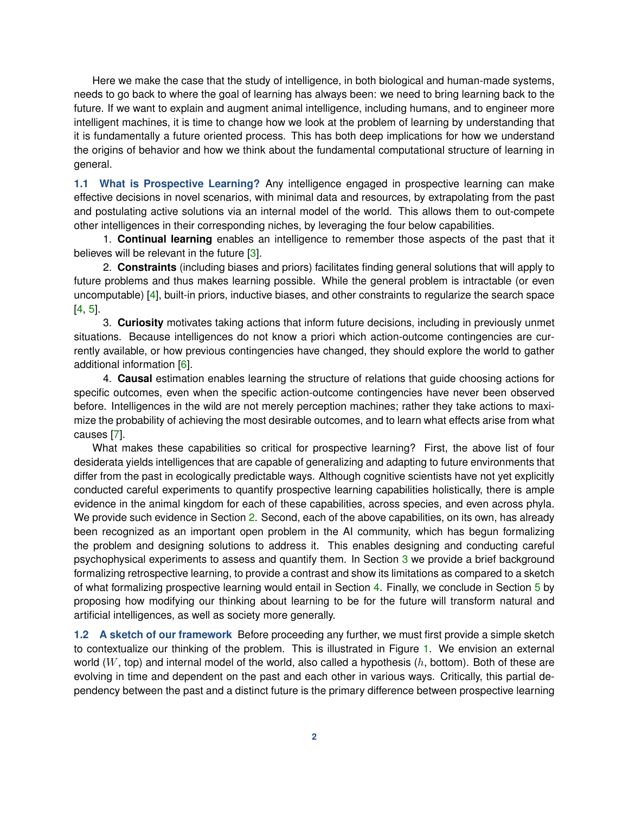Here we make the case that the study of intelligence, in both biological and human-made systems, needs to go back to where the goal of learning has always been: we need to bring learning back to the future. If we want to explain and augment animal intelligence, including humans, and to engineer more intelligent machines, it is time to change how we look at the problem of learning by understanding that it is fundamentally a future oriented process. This has both deep implications for how we understand the origins of behavior and how we think about the fundamental computational structure of learning in general.

**1.1 What is Prospective Learning?** Any intelligence engaged in prospective learning can make effective decisions in novel scenarios, with minimal data and resources, by extrapolating from the past and postulating active solutions via an internal model of the world. This allows them to out-compete other intelligences in their corresponding niches, by leveraging the four below capabilities.

1. **Continual learning** enables an intelligence to remember those aspects of the past that it believes will be relevant in the future [\[3\]](#page-17-2).

2. **Constraints** (including biases and priors) facilitates finding general solutions that will apply to future problems and thus makes learning possible. While the general problem is intractable (or even uncomputable) [\[4\]](#page-17-3), built-in priors, inductive biases, and other constraints to regularize the search space [\[4,](#page-17-3) [5\]](#page-18-0).

3. **Curiosity** motivates taking actions that inform future decisions, including in previously unmet situations. Because intelligences do not know a priori which action-outcome contingencies are currently available, or how previous contingencies have changed, they should explore the world to gather additional information [\[6\]](#page-18-1).

4. **Causal** estimation enables learning the structure of relations that guide choosing actions for specific outcomes, even when the specific action-outcome contingencies have never been observed before. Intelligences in the wild are not merely perception machines; rather they take actions to maximize the probability of achieving the most desirable outcomes, and to learn what effects arise from what causes [\[7\]](#page-18-2).

What makes these capabilities so critical for prospective learning? First, the above list of four desiderata yields intelligences that are capable of generalizing and adapting to future environments that differ from the past in ecologically predictable ways. Although cognitive scientists have not yet explicitly conducted careful experiments to quantify prospective learning capabilities holistically, there is ample evidence in the animal kingdom for each of these capabilities, across species, and even across phyla. We provide such evidence in Section [2.](#page-2-0) Second, each of the above capabilities, on its own, has already been recognized as an important open problem in the AI community, which has begun formalizing the problem and designing solutions to address it. This enables designing and conducting careful psychophysical experiments to assess and quantify them. In Section [3](#page-4-0) we provide a brief background formalizing retrospective learning, to provide a contrast and show its limitations as compared to a sketch of what formalizing prospective learning would entail in Section [4.](#page-6-0) Finally, we conclude in Section [5](#page-13-0) by proposing how modifying our thinking about learning to be for the future will transform natural and artificial intelligences, as well as society more generally.

<span id="page-1-0"></span>**1.2 A sketch of our framework** Before proceeding any further, we must first provide a simple sketch to contextualize our thinking of the problem. This is illustrated in Figure [1.](#page-2-1) We envision an external world (W, top) and internal model of the world, also called a hypothesis (h, bottom). Both of these are evolving in time and dependent on the past and each other in various ways. Critically, this partial dependency between the past and a distinct future is the primary difference between prospective learning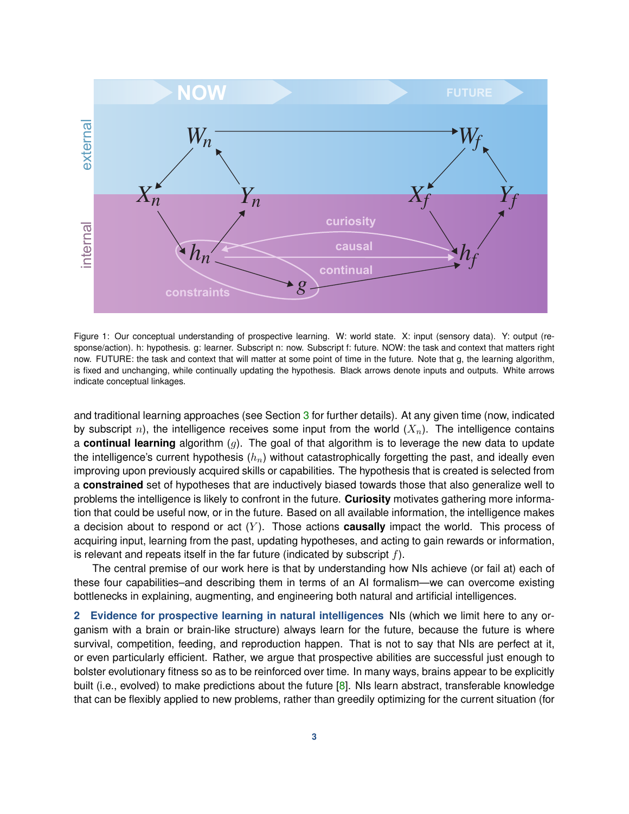<span id="page-2-1"></span>

Figure 1: Our conceptual understanding of prospective learning. W: world state. X: input (sensory data). Y: output (response/action). h: hypothesis. g: learner. Subscript n: now. Subscript f: future. NOW: the task and context that matters right now. FUTURE: the task and context that will matter at some point of time in the future. Note that g, the learning algorithm, is fixed and unchanging, while continually updating the hypothesis. Black arrows denote inputs and outputs. White arrows indicate conceptual linkages.

and traditional learning approaches (see Section [3](#page-4-0) for further details). At any given time (now, indicated by subscript n), the intelligence receives some input from the world  $(X_n)$ . The intelligence contains a **continual learning** algorithm (g). The goal of that algorithm is to leverage the new data to update the intelligence's current hypothesis  $(h_n)$  without catastrophically forgetting the past, and ideally even improving upon previously acquired skills or capabilities. The hypothesis that is created is selected from a **constrained** set of hypotheses that are inductively biased towards those that also generalize well to problems the intelligence is likely to confront in the future. **Curiosity** motivates gathering more information that could be useful now, or in the future. Based on all available information, the intelligence makes a decision about to respond or act  $(Y)$ . Those actions **causally** impact the world. This process of acquiring input, learning from the past, updating hypotheses, and acting to gain rewards or information, is relevant and repeats itself in the far future (indicated by subscript  $f$ ).

The central premise of our work here is that by understanding how NIs achieve (or fail at) each of these four capabilities–and describing them in terms of an AI formalism—we can overcome existing bottlenecks in explaining, augmenting, and engineering both natural and artificial intelligences.

<span id="page-2-0"></span>**2 Evidence for prospective learning in natural intelligences** NIs (which we limit here to any organism with a brain or brain-like structure) always learn for the future, because the future is where survival, competition, feeding, and reproduction happen. That is not to say that NIs are perfect at it, or even particularly efficient. Rather, we argue that prospective abilities are successful just enough to bolster evolutionary fitness so as to be reinforced over time. In many ways, brains appear to be explicitly built (i.e., evolved) to make predictions about the future [\[8\]](#page-18-3). NIs learn abstract, transferable knowledge that can be flexibly applied to new problems, rather than greedily optimizing for the current situation (for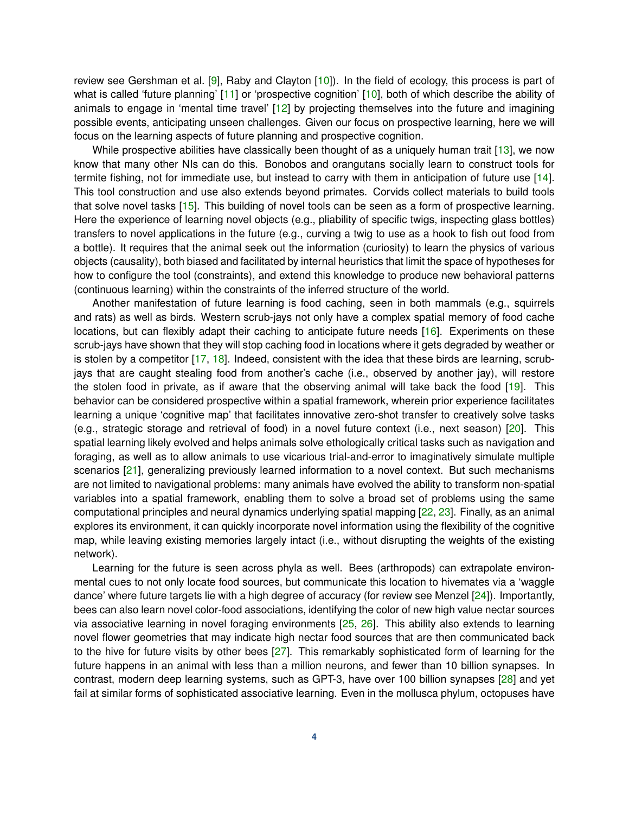review see Gershman et al. [\[9\]](#page-18-4), Raby and Clayton [\[10\]](#page-18-5)). In the field of ecology, this process is part of what is called 'future planning' [\[11\]](#page-18-6) or 'prospective cognition' [\[10\]](#page-18-5), both of which describe the ability of animals to engage in 'mental time travel' [\[12\]](#page-18-7) by projecting themselves into the future and imagining possible events, anticipating unseen challenges. Given our focus on prospective learning, here we will focus on the learning aspects of future planning and prospective cognition.

While prospective abilities have classically been thought of as a uniquely human trait [\[13\]](#page-18-8), we now know that many other NIs can do this. Bonobos and orangutans socially learn to construct tools for termite fishing, not for immediate use, but instead to carry with them in anticipation of future use [\[14\]](#page-18-9). This tool construction and use also extends beyond primates. Corvids collect materials to build tools that solve novel tasks [\[15\]](#page-18-10). This building of novel tools can be seen as a form of prospective learning. Here the experience of learning novel objects (e.g., pliability of specific twigs, inspecting glass bottles) transfers to novel applications in the future (e.g., curving a twig to use as a hook to fish out food from a bottle). It requires that the animal seek out the information (curiosity) to learn the physics of various objects (causality), both biased and facilitated by internal heuristics that limit the space of hypotheses for how to configure the tool (constraints), and extend this knowledge to produce new behavioral patterns (continuous learning) within the constraints of the inferred structure of the world.

Another manifestation of future learning is food caching, seen in both mammals (e.g., squirrels and rats) as well as birds. Western scrub-jays not only have a complex spatial memory of food cache locations, but can flexibly adapt their caching to anticipate future needs [\[16\]](#page-18-11). Experiments on these scrub-jays have shown that they will stop caching food in locations where it gets degraded by weather or is stolen by a competitor  $[17, 18]$  $[17, 18]$  $[17, 18]$ . Indeed, consistent with the idea that these birds are learning, scrubjays that are caught stealing food from another's cache (i.e., observed by another jay), will restore the stolen food in private, as if aware that the observing animal will take back the food [\[19\]](#page-18-14). This behavior can be considered prospective within a spatial framework, wherein prior experience facilitates learning a unique 'cognitive map' that facilitates innovative zero-shot transfer to creatively solve tasks (e.g., strategic storage and retrieval of food) in a novel future context (i.e., next season) [\[20\]](#page-18-15). This spatial learning likely evolved and helps animals solve ethologically critical tasks such as navigation and foraging, as well as to allow animals to use vicarious trial-and-error to imaginatively simulate multiple scenarios [\[21\]](#page-18-16), generalizing previously learned information to a novel context. But such mechanisms are not limited to navigational problems: many animals have evolved the ability to transform non-spatial variables into a spatial framework, enabling them to solve a broad set of problems using the same computational principles and neural dynamics underlying spatial mapping [\[22,](#page-18-17) [23\]](#page-18-18). Finally, as an animal explores its environment, it can quickly incorporate novel information using the flexibility of the cognitive map, while leaving existing memories largely intact (i.e., without disrupting the weights of the existing network).

Learning for the future is seen across phyla as well. Bees (arthropods) can extrapolate environmental cues to not only locate food sources, but communicate this location to hivemates via a 'waggle dance' where future targets lie with a high degree of accuracy (for review see Menzel [\[24\]](#page-18-19)). Importantly, bees can also learn novel color-food associations, identifying the color of new high value nectar sources via associative learning in novel foraging environments [\[25,](#page-18-20) [26\]](#page-19-0). This ability also extends to learning novel flower geometries that may indicate high nectar food sources that are then communicated back to the hive for future visits by other bees [\[27\]](#page-19-1). This remarkably sophisticated form of learning for the future happens in an animal with less than a million neurons, and fewer than 10 billion synapses. In contrast, modern deep learning systems, such as GPT-3, have over 100 billion synapses [\[28\]](#page-19-2) and yet fail at similar forms of sophisticated associative learning. Even in the mollusca phylum, octopuses have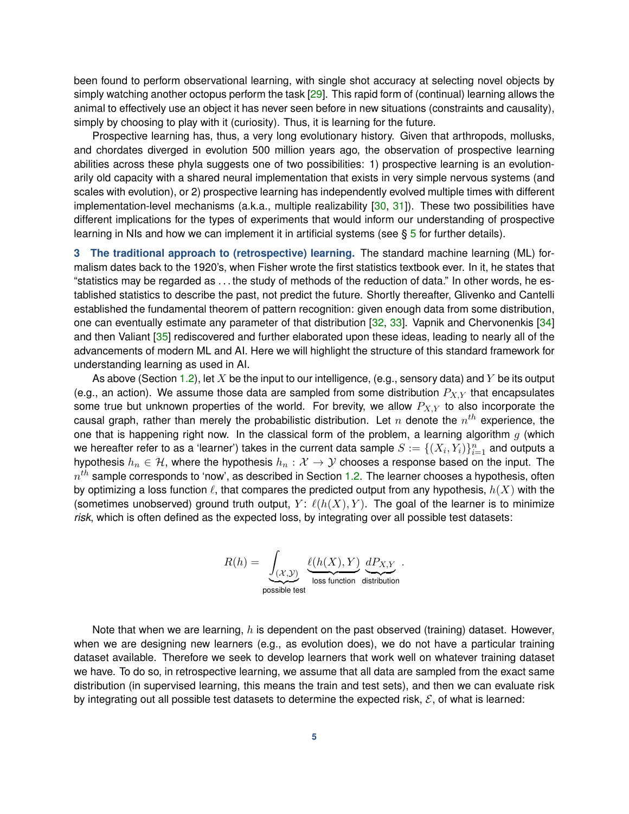been found to perform observational learning, with single shot accuracy at selecting novel objects by simply watching another octopus perform the task [\[29\]](#page-19-3). This rapid form of (continual) learning allows the animal to effectively use an object it has never seen before in new situations (constraints and causality), simply by choosing to play with it (curiosity). Thus, it is learning for the future.

Prospective learning has, thus, a very long evolutionary history. Given that arthropods, mollusks, and chordates diverged in evolution 500 million years ago, the observation of prospective learning abilities across these phyla suggests one of two possibilities: 1) prospective learning is an evolutionarily old capacity with a shared neural implementation that exists in very simple nervous systems (and scales with evolution), or 2) prospective learning has independently evolved multiple times with different implementation-level mechanisms (a.k.a., multiple realizability [\[30,](#page-19-4) [31\]](#page-19-5)). These two possibilities have different implications for the types of experiments that would inform our understanding of prospective learning in NIs and how we can implement it in artificial systems (see  $\S 5$  $\S 5$  for further details).

<span id="page-4-0"></span>**3 The traditional approach to (retrospective) learning.** The standard machine learning (ML) formalism dates back to the 1920's, when Fisher wrote the first statistics textbook ever. In it, he states that "statistics may be regarded as . . . the study of methods of the reduction of data." In other words, he established statistics to describe the past, not predict the future. Shortly thereafter, Glivenko and Cantelli established the fundamental theorem of pattern recognition: given enough data from some distribution, one can eventually estimate any parameter of that distribution [\[32,](#page-19-6) [33\]](#page-19-7). Vapnik and Chervonenkis [\[34\]](#page-19-8) and then Valiant [\[35\]](#page-19-9) rediscovered and further elaborated upon these ideas, leading to nearly all of the advancements of modern ML and AI. Here we will highlight the structure of this standard framework for understanding learning as used in AI.

As above (Section [1.2\)](#page-1-0), let X be the input to our intelligence, (e.g., sensory data) and Y be its output (e.g., an action). We assume those data are sampled from some distribution  $P_{X,Y}$  that encapsulates some true but unknown properties of the world. For brevity, we allow  $P_{X,Y}$  to also incorporate the causal graph, rather than merely the probabilistic distribution. Let  $n$  denote the  $n^{th}$  experience, the one that is happening right now. In the classical form of the problem, a learning algorithm  $g$  (which we hereafter refer to as a 'learner') takes in the current data sample  $S:=\{(X_i,Y_i)\}_{i=1}^n$  and outputs a hypothesis  $h_n \in \mathcal{H}$ , where the hypothesis  $h_n : \mathcal{X} \to \mathcal{Y}$  chooses a response based on the input. The  $n^{th}$  sample corresponds to 'now', as described in Section [1.2.](#page-1-0) The learner chooses a hypothesis, often by optimizing a loss function  $\ell$ , that compares the predicted output from any hypothesis,  $h(X)$  with the (sometimes unobserved) ground truth output,  $Y: \ell(h(X), Y)$ . The goal of the learner is to minimize *risk*, which is often defined as the expected loss, by integrating over all possible test datasets:

$$
R(h) = \underbrace{\int_{(\mathcal{X}, \mathcal{Y})} \underbrace{\ell(h(X), Y)}_{\text{loss function}} \underbrace{dP_{X, Y}}_{\text{distribution}}.
$$

Note that when we are learning,  $h$  is dependent on the past observed (training) dataset. However, when we are designing new learners (e.g., as evolution does), we do not have a particular training dataset available. Therefore we seek to develop learners that work well on whatever training dataset we have. To do so, in retrospective learning, we assume that all data are sampled from the exact same distribution (in supervised learning, this means the train and test sets), and then we can evaluate risk by integrating out all possible test datasets to determine the expected risk,  $\mathcal{E}$ , of what is learned: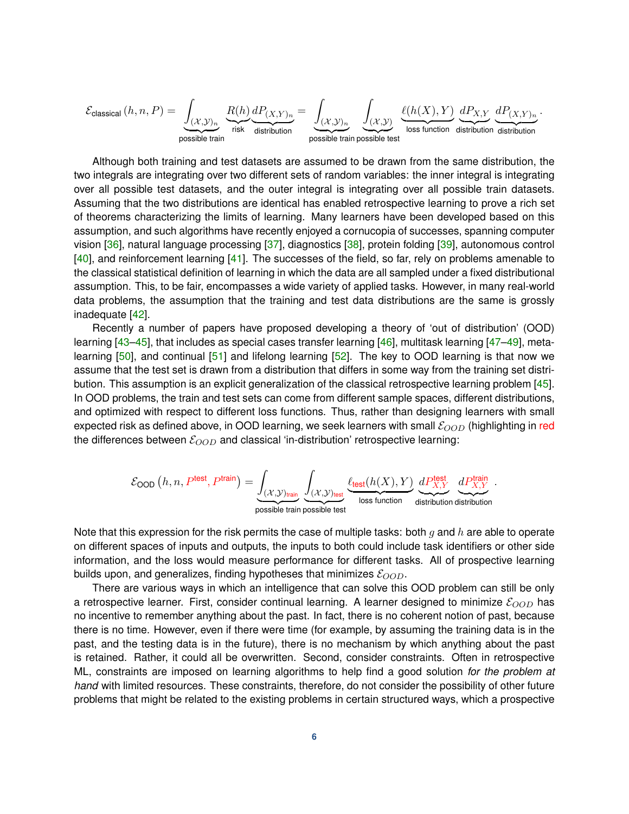$$
\mathcal{E}_{\text{classical}}\left(h,n,P\right) = \underbrace{\int_{(\mathcal{X},\mathcal{Y})_n} \underbrace{R(h)}_{\text{risk}} \underbrace{dP_{(X,Y)_n}}_{\text{disk}} = \underbrace{\int_{(\mathcal{X},\mathcal{Y})_n} \underbrace{\int_{(\mathcal{X},\mathcal{Y})} \underbrace{\ell(h(X),Y)}_{\text{loss function}} \underbrace{dP_{X,Y}}_{\text{distribution}} \underbrace{dP_{(X,Y)_n}}_{\text{distribution}}.
$$

Although both training and test datasets are assumed to be drawn from the same distribution, the two integrals are integrating over two different sets of random variables: the inner integral is integrating over all possible test datasets, and the outer integral is integrating over all possible train datasets. Assuming that the two distributions are identical has enabled retrospective learning to prove a rich set of theorems characterizing the limits of learning. Many learners have been developed based on this assumption, and such algorithms have recently enjoyed a cornucopia of successes, spanning computer vision [\[36\]](#page-19-10), natural language processing [\[37\]](#page-19-11), diagnostics [\[38\]](#page-19-12), protein folding [\[39\]](#page-19-13), autonomous control [\[40\]](#page-19-14), and reinforcement learning [\[41\]](#page-19-15). The successes of the field, so far, rely on problems amenable to the classical statistical definition of learning in which the data are all sampled under a fixed distributional assumption. This, to be fair, encompasses a wide variety of applied tasks. However, in many real-world data problems, the assumption that the training and test data distributions are the same is grossly inadequate [\[42\]](#page-19-16).

Recently a number of papers have proposed developing a theory of 'out of distribution' (OOD) learning [\[43](#page-19-17)[–45\]](#page-19-18), that includes as special cases transfer learning [\[46\]](#page-19-19), multitask learning [\[47–](#page-20-0)[49\]](#page-20-1), meta-learning [\[50\]](#page-20-2), and continual [\[51\]](#page-20-3) and lifelong learning [\[52\]](#page-20-4). The key to OOD learning is that now we assume that the test set is drawn from a distribution that differs in some way from the training set distribution. This assumption is an explicit generalization of the classical retrospective learning problem [\[45\]](#page-19-18). In OOD problems, the train and test sets can come from different sample spaces, different distributions, and optimized with respect to different loss functions. Thus, rather than designing learners with small expected risk as defined above, in OOD learning, we seek learners with small  $\mathcal{E}_{OOD}$  (highlighting in red the differences between  $\mathcal{E}_{OOD}$  and classical 'in-distribution' retrospective learning:

$$
\mathcal{E}_{\text{OOD}}\left(h,n,P^{\text{test}},P^{\text{train}}\right)=\underbrace{\int_{(\mathcal{X},\mathcal{Y})_{\text{train}}}\underbrace{\int_{(\mathcal{X},\mathcal{Y})_{\text{test}}}\underbrace{\ell_{\text{test}}(h(X),Y)}_{\text{loss function}}\underbrace{dP_{X,Y}^{\text{test}}}{\text{distribution distribution distribution}}}{\mathcal{E}_{\text{in}}
$$

Note that this expression for the risk permits the case of multiple tasks: both  $q$  and  $h$  are able to operate on different spaces of inputs and outputs, the inputs to both could include task identifiers or other side information, and the loss would measure performance for different tasks. All of prospective learning builds upon, and generalizes, finding hypotheses that minimizes  $\mathcal{E}_{OOD}$ .

There are various ways in which an intelligence that can solve this OOD problem can still be only a retrospective learner. First, consider continual learning. A learner designed to minimize  $\mathcal{E}_{OOD}$  has no incentive to remember anything about the past. In fact, there is no coherent notion of past, because there is no time. However, even if there were time (for example, by assuming the training data is in the past, and the testing data is in the future), there is no mechanism by which anything about the past is retained. Rather, it could all be overwritten. Second, consider constraints. Often in retrospective ML, constraints are imposed on learning algorithms to help find a good solution *for the problem at hand* with limited resources. These constraints, therefore, do not consider the possibility of other future problems that might be related to the existing problems in certain structured ways, which a prospective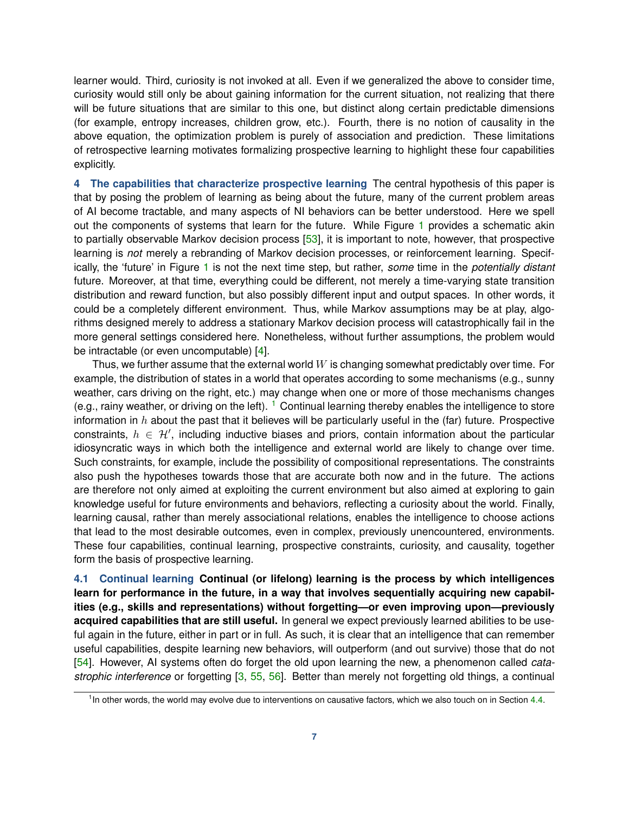learner would. Third, curiosity is not invoked at all. Even if we generalized the above to consider time, curiosity would still only be about gaining information for the current situation, not realizing that there will be future situations that are similar to this one, but distinct along certain predictable dimensions (for example, entropy increases, children grow, etc.). Fourth, there is no notion of causality in the above equation, the optimization problem is purely of association and prediction. These limitations of retrospective learning motivates formalizing prospective learning to highlight these four capabilities explicitly.

<span id="page-6-0"></span>**4 The capabilities that characterize prospective learning** The central hypothesis of this paper is that by posing the problem of learning as being about the future, many of the current problem areas of AI become tractable, and many aspects of NI behaviors can be better understood. Here we spell out the components of systems that learn for the future. While Figure [1](#page-2-1) provides a schematic akin to partially observable Markov decision process [\[53\]](#page-20-5), it is important to note, however, that prospective learning is *not* merely a rebranding of Markov decision processes, or reinforcement learning. Specifically, the 'future' in Figure [1](#page-2-1) is not the next time step, but rather, *some* time in the *potentially distant* future. Moreover, at that time, everything could be different, not merely a time-varying state transition distribution and reward function, but also possibly different input and output spaces. In other words, it could be a completely different environment. Thus, while Markov assumptions may be at play, algorithms designed merely to address a stationary Markov decision process will catastrophically fail in the more general settings considered here. Nonetheless, without further assumptions, the problem would be intractable (or even uncomputable) [\[4\]](#page-17-3).

Thus, we further assume that the external world  $W$  is changing somewhat predictably over time. For example, the distribution of states in a world that operates according to some mechanisms (e.g., sunny weather, cars driving on the right, etc.) may change when one or more of those mechanisms changes (e.g., rainy weather, or driving on the left).  $1$  Continual learning thereby enables the intelligence to store information in  $h$  about the past that it believes will be particularly useful in the (far) future. Prospective constraints,  $h \in \mathcal{H}'$ , including inductive biases and priors, contain information about the particular idiosyncratic ways in which both the intelligence and external world are likely to change over time. Such constraints, for example, include the possibility of compositional representations. The constraints also push the hypotheses towards those that are accurate both now and in the future. The actions are therefore not only aimed at exploiting the current environment but also aimed at exploring to gain knowledge useful for future environments and behaviors, reflecting a curiosity about the world. Finally, learning causal, rather than merely associational relations, enables the intelligence to choose actions that lead to the most desirable outcomes, even in complex, previously unencountered, environments. These four capabilities, continual learning, prospective constraints, curiosity, and causality, together form the basis of prospective learning.

**4.1 Continual learning Continual (or lifelong) learning is the process by which intelligences learn for performance in the future, in a way that involves sequentially acquiring new capabilities (e.g., skills and representations) without forgetting—or even improving upon—previously acquired capabilities that are still useful.** In general we expect previously learned abilities to be useful again in the future, either in part or in full. As such, it is clear that an intelligence that can remember useful capabilities, despite learning new behaviors, will outperform (and out survive) those that do not [\[54\]](#page-20-6). However, AI systems often do forget the old upon learning the new, a phenomenon called *catastrophic interference* or forgetting [\[3,](#page-17-2) [55,](#page-20-7) [56\]](#page-20-8). Better than merely not forgetting old things, a continual

<span id="page-6-1"></span><sup>&</sup>lt;sup>1</sup> In other words, the world may evolve due to interventions on causative factors, which we also touch on in Section [4.4.](#page-10-0)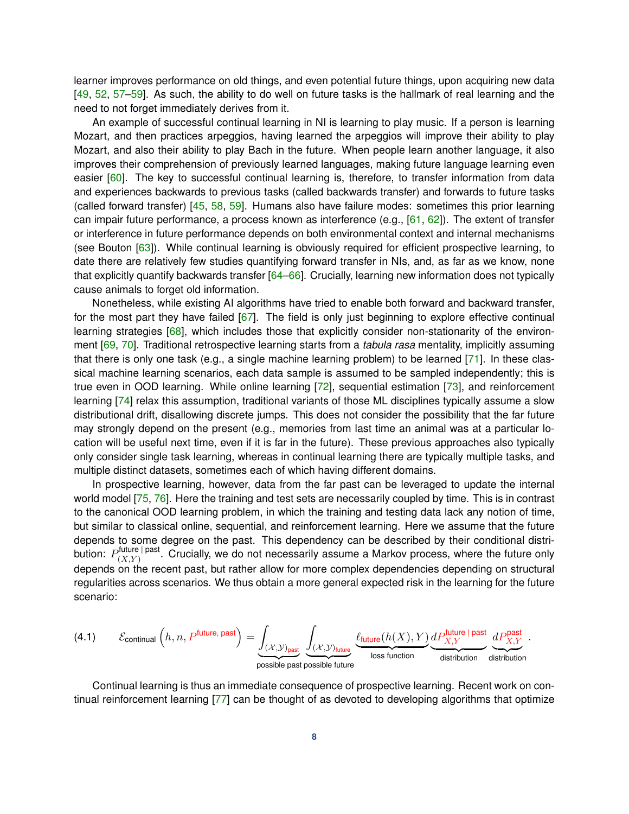learner improves performance on old things, and even potential future things, upon acquiring new data [\[49,](#page-20-1) [52,](#page-20-4) [57–](#page-20-9)[59\]](#page-20-10). As such, the ability to do well on future tasks is the hallmark of real learning and the need to not forget immediately derives from it.

An example of successful continual learning in NI is learning to play music. If a person is learning Mozart, and then practices arpeggios, having learned the arpeggios will improve their ability to play Mozart, and also their ability to play Bach in the future. When people learn another language, it also improves their comprehension of previously learned languages, making future language learning even easier [\[60\]](#page-20-11). The key to successful continual learning is, therefore, to transfer information from data and experiences backwards to previous tasks (called backwards transfer) and forwards to future tasks (called forward transfer) [\[45,](#page-19-18) [58,](#page-20-12) [59\]](#page-20-10). Humans also have failure modes: sometimes this prior learning can impair future performance, a process known as interference (e.g.,  $[61, 62]$  $[61, 62]$  $[61, 62]$ ). The extent of transfer or interference in future performance depends on both environmental context and internal mechanisms (see Bouton [\[63\]](#page-20-15)). While continual learning is obviously required for efficient prospective learning, to date there are relatively few studies quantifying forward transfer in NIs, and, as far as we know, none that explicitly quantify backwards transfer [\[64](#page-20-16)[–66\]](#page-20-17). Crucially, learning new information does not typically cause animals to forget old information.

Nonetheless, while existing AI algorithms have tried to enable both forward and backward transfer, for the most part they have failed [\[67\]](#page-20-18). The field is only just beginning to explore effective continual learning strategies [\[68\]](#page-20-19), which includes those that explicitly consider non-stationarity of the environment [\[69,](#page-21-0) [70\]](#page-21-1). Traditional retrospective learning starts from a *tabula rasa* mentality, implicitly assuming that there is only one task (e.g., a single machine learning problem) to be learned [\[71\]](#page-21-2). In these classical machine learning scenarios, each data sample is assumed to be sampled independently; this is true even in OOD learning. While online learning [\[72\]](#page-21-3), sequential estimation [\[73\]](#page-21-4), and reinforcement learning [\[74\]](#page-21-5) relax this assumption, traditional variants of those ML disciplines typically assume a slow distributional drift, disallowing discrete jumps. This does not consider the possibility that the far future may strongly depend on the present (e.g., memories from last time an animal was at a particular location will be useful next time, even if it is far in the future). These previous approaches also typically only consider single task learning, whereas in continual learning there are typically multiple tasks, and multiple distinct datasets, sometimes each of which having different domains.

In prospective learning, however, data from the far past can be leveraged to update the internal world model [\[75,](#page-21-6) [76\]](#page-21-7). Here the training and test sets are necessarily coupled by time. This is in contrast to the canonical OOD learning problem, in which the training and testing data lack any notion of time, but similar to classical online, sequential, and reinforcement learning. Here we assume that the future depends to some degree on the past. This dependency can be described by their conditional distribution:  $P^{ \mathsf{future} \, | \, \mathsf{past}}_{(X, Y)}$  $(X,Y)$ <sup>lutule</sup> l<sup>past</sup>. Crucially, we do not necessarily assume a Markov process, where the future only depends on the recent past, but rather allow for more complex dependencies depending on structural regularities across scenarios. We thus obtain a more general expected risk in the learning for the future scenario:

(4.1) 
$$
\mathcal{E}_{\text{continual}}\left(h, n, P^{\text{future}, \text{past}}\right) = \underbrace{\int_{(\mathcal{X}, \mathcal{Y})_{\text{past}}}\int_{(\mathcal{X}, \mathcal{Y})_{\text{future}}}\underbrace{\int_{(t, t, w)}\underbrace{\ell_{\text{future}}(h(X), Y)}_{\text{loss function}}\underbrace{dP^{\text{future}}_{X, Y}}_{\text{distribution}}\underbrace{dP^{\text{past}}_{X, Y}}_{\text{distribution}}.
$$

Continual learning is thus an immediate consequence of prospective learning. Recent work on continual reinforcement learning [\[77\]](#page-21-8) can be thought of as devoted to developing algorithms that optimize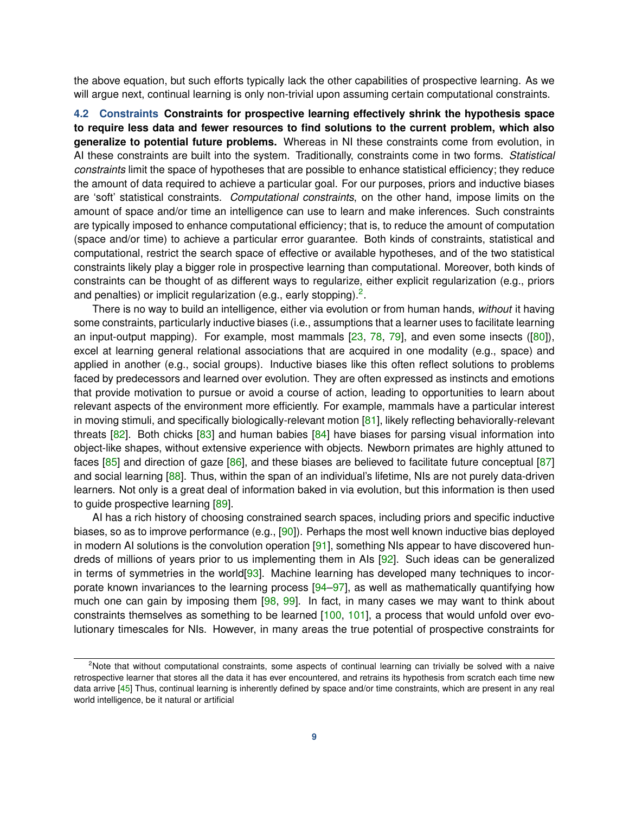the above equation, but such efforts typically lack the other capabilities of prospective learning. As we will argue next, continual learning is only non-trivial upon assuming certain computational constraints.

**4.2 Constraints Constraints for prospective learning effectively shrink the hypothesis space to require less data and fewer resources to find solutions to the current problem, which also generalize to potential future problems.** Whereas in NI these constraints come from evolution, in AI these constraints are built into the system. Traditionally, constraints come in two forms. *Statistical constraints* limit the space of hypotheses that are possible to enhance statistical efficiency; they reduce the amount of data required to achieve a particular goal. For our purposes, priors and inductive biases are 'soft' statistical constraints. *Computational constraints*, on the other hand, impose limits on the amount of space and/or time an intelligence can use to learn and make inferences. Such constraints are typically imposed to enhance computational efficiency; that is, to reduce the amount of computation (space and/or time) to achieve a particular error guarantee. Both kinds of constraints, statistical and computational, restrict the search space of effective or available hypotheses, and of the two statistical constraints likely play a bigger role in prospective learning than computational. Moreover, both kinds of constraints can be thought of as different ways to regularize, either explicit regularization (e.g., priors and penalties) or implicit regularization (e.g., early stopping).<sup>[2](#page-8-0)</sup>.

There is no way to build an intelligence, either via evolution or from human hands, *without* it having some constraints, particularly inductive biases (i.e., assumptions that a learner uses to facilitate learning an input-output mapping). For example, most mammals  $[23, 78, 79]$  $[23, 78, 79]$  $[23, 78, 79]$  $[23, 78, 79]$  $[23, 78, 79]$ , and even some insects  $([80])$  $([80])$  $([80])$ , excel at learning general relational associations that are acquired in one modality (e.g., space) and applied in another (e.g., social groups). Inductive biases like this often reflect solutions to problems faced by predecessors and learned over evolution. They are often expressed as instincts and emotions that provide motivation to pursue or avoid a course of action, leading to opportunities to learn about relevant aspects of the environment more efficiently. For example, mammals have a particular interest in moving stimuli, and specifically biologically-relevant motion [\[81\]](#page-21-12), likely reflecting behaviorally-relevant threats  $[82]$ . Both chicks  $[83]$  and human babies  $[84]$  have biases for parsing visual information into object-like shapes, without extensive experience with objects. Newborn primates are highly attuned to faces  $[85]$  and direction of gaze  $[86]$ , and these biases are believed to facilitate future conceptual  $[87]$ and social learning [\[88\]](#page-21-19). Thus, within the span of an individual's lifetime. NIs are not purely data-driven learners. Not only is a great deal of information baked in via evolution, but this information is then used to guide prospective learning [\[89\]](#page-21-20).

AI has a rich history of choosing constrained search spaces, including priors and specific inductive biases, so as to improve performance (e.g., [\[90\]](#page-22-0)). Perhaps the most well known inductive bias deployed in modern AI solutions is the convolution operation [\[91\]](#page-22-1), something NIs appear to have discovered hundreds of millions of years prior to us implementing them in AIs [\[92\]](#page-22-2). Such ideas can be generalized in terms of symmetries in the world [\[93\]](#page-22-3). Machine learning has developed many techniques to incor-porate known invariances to the learning process [\[94](#page-22-4)-97], as well as mathematically quantifying how much one can gain by imposing them [\[98,](#page-22-6) [99\]](#page-22-7). In fact, in many cases we may want to think about constraints themselves as something to be learned [\[100,](#page-22-8) [101\]](#page-22-9), a process that would unfold over evolutionary timescales for NIs. However, in many areas the true potential of prospective constraints for

<span id="page-8-0"></span><sup>&</sup>lt;sup>2</sup>Note that without computational constraints, some aspects of continual learning can trivially be solved with a naive retrospective learner that stores all the data it has ever encountered, and retrains its hypothesis from scratch each time new data arrive [\[45\]](#page-19-18) Thus, continual learning is inherently defined by space and/or time constraints, which are present in any real world intelligence, be it natural or artificial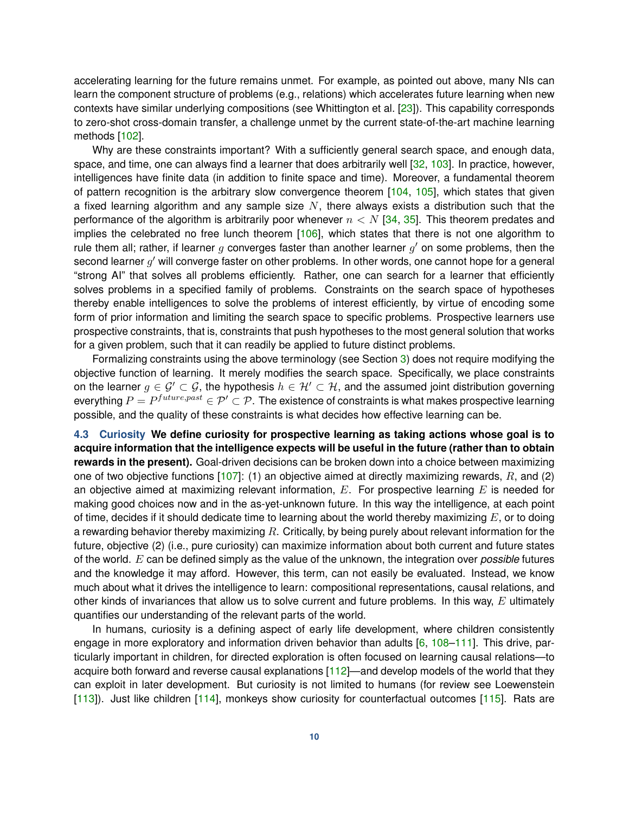accelerating learning for the future remains unmet. For example, as pointed out above, many NIs can learn the component structure of problems (e.g., relations) which accelerates future learning when new contexts have similar underlying compositions (see Whittington et al. [\[23\]](#page-18-18)). This capability corresponds to zero-shot cross-domain transfer, a challenge unmet by the current state-of-the-art machine learning methods [\[102\]](#page-22-10).

Why are these constraints important? With a sufficiently general search space, and enough data, space, and time, one can always find a learner that does arbitrarily well [\[32,](#page-19-6) [103\]](#page-22-11). In practice, however, intelligences have finite data (in addition to finite space and time). Moreover, a fundamental theorem of pattern recognition is the arbitrary slow convergence theorem [\[104,](#page-22-12) [105\]](#page-22-13), which states that given a fixed learning algorithm and any sample size  $N$ , there always exists a distribution such that the performance of the algorithm is arbitrarily poor whenever  $n < N$  [\[34,](#page-19-8) [35\]](#page-19-9). This theorem predates and implies the celebrated no free lunch theorem [\[106\]](#page-22-14), which states that there is not one algorithm to rule them all; rather, if learner  $g$  converges faster than another learner  $g'$  on some problems, then the second learner  $g'$  will converge faster on other problems. In other words, one cannot hope for a general "strong AI" that solves all problems efficiently. Rather, one can search for a learner that efficiently solves problems in a specified family of problems. Constraints on the search space of hypotheses thereby enable intelligences to solve the problems of interest efficiently, by virtue of encoding some form of prior information and limiting the search space to specific problems. Prospective learners use prospective constraints, that is, constraints that push hypotheses to the most general solution that works for a given problem, such that it can readily be applied to future distinct problems.

Formalizing constraints using the above terminology (see Section [3\)](#page-4-0) does not require modifying the objective function of learning. It merely modifies the search space. Specifically, we place constraints on the learner  $g \in \mathcal{G}' \subset \mathcal{G}$ , the hypothesis  $h \in \mathcal{H}' \subset \mathcal{H}$ , and the assumed joint distribution governing everything  $P=P^{future, past}\in \mathcal{P}'\subset \mathcal{P}.$  The existence of constraints is what makes prospective learning possible, and the quality of these constraints is what decides how effective learning can be.

**4.3 Curiosity We define curiosity for prospective learning as taking actions whose goal is to acquire information that the intelligence expects will be useful in the future (rather than to obtain rewards in the present).** Goal-driven decisions can be broken down into a choice between maximizing one of two objective functions  $[107]$ : (1) an objective aimed at directly maximizing rewards, R, and (2) an objective aimed at maximizing relevant information,  $E$ . For prospective learning  $E$  is needed for making good choices now and in the as-yet-unknown future. In this way the intelligence, at each point of time, decides if it should dedicate time to learning about the world thereby maximizing  $E$ , or to doing a rewarding behavior thereby maximizing  $R$ . Critically, by being purely about relevant information for the future, objective (2) (i.e., pure curiosity) can maximize information about both current and future states of the world. E can be defined simply as the value of the unknown, the integration over *possible* futures and the knowledge it may afford. However, this term, can not easily be evaluated. Instead, we know much about what it drives the intelligence to learn: compositional representations, causal relations, and other kinds of invariances that allow us to solve current and future problems. In this way,  $E$  ultimately quantifies our understanding of the relevant parts of the world.

In humans, curiosity is a defining aspect of early life development, where children consistently engage in more exploratory and information driven behavior than adults [\[6,](#page-18-1) [108](#page-22-16)[–111\]](#page-23-0). This drive, particularly important in children, for directed exploration is often focused on learning causal relations—to acquire both forward and reverse causal explanations [\[112\]](#page-23-1)—and develop models of the world that they can exploit in later development. But curiosity is not limited to humans (for review see Loewenstein [\[113\]](#page-23-2)). Just like children [\[114\]](#page-23-3), monkeys show curiosity for counterfactual outcomes [\[115\]](#page-23-4). Rats are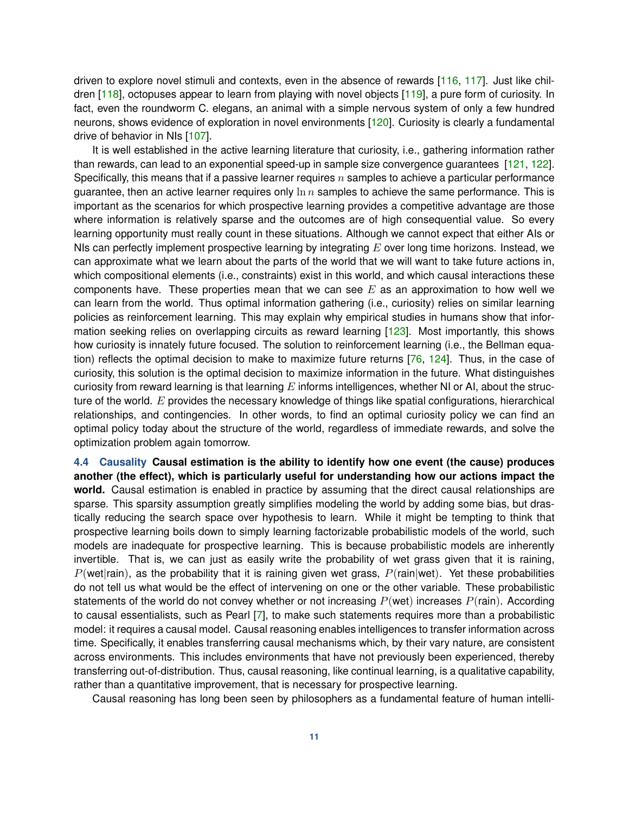driven to explore novel stimuli and contexts, even in the absence of rewards [\[116,](#page-23-5) [117\]](#page-23-6). Just like children [\[118\]](#page-23-7), octopuses appear to learn from playing with novel objects [\[119\]](#page-23-8), a pure form of curiosity. In fact, even the roundworm C. elegans, an animal with a simple nervous system of only a few hundred neurons, shows evidence of exploration in novel environments [\[120\]](#page-23-9). Curiosity is clearly a fundamental drive of behavior in NIs [\[107\]](#page-22-15).

It is well established in the active learning literature that curiosity, i.e., gathering information rather than rewards, can lead to an exponential speed-up in sample size convergence guarantees [\[121,](#page-23-10) [122\]](#page-23-11). Specifically, this means that if a passive learner requires  $n$  samples to achieve a particular performance guarantee, then an active learner requires only  $\ln n$  samples to achieve the same performance. This is important as the scenarios for which prospective learning provides a competitive advantage are those where information is relatively sparse and the outcomes are of high consequential value. So every learning opportunity must really count in these situations. Although we cannot expect that either AIs or NIs can perfectly implement prospective learning by integrating  $E$  over long time horizons. Instead, we can approximate what we learn about the parts of the world that we will want to take future actions in, which compositional elements (i.e., constraints) exist in this world, and which causal interactions these components have. These properties mean that we can see  $E$  as an approximation to how well we can learn from the world. Thus optimal information gathering (i.e., curiosity) relies on similar learning policies as reinforcement learning. This may explain why empirical studies in humans show that infor-mation seeking relies on overlapping circuits as reward learning [\[123\]](#page-23-12). Most importantly, this shows how curiosity is innately future focused. The solution to reinforcement learning (i.e., the Bellman equation) reflects the optimal decision to make to maximize future returns [\[76,](#page-21-7) [124\]](#page-23-13). Thus, in the case of curiosity, this solution is the optimal decision to maximize information in the future. What distinguishes curiosity from reward learning is that learning  $E$  informs intelligences, whether NI or AI, about the structure of the world.  $E$  provides the necessary knowledge of things like spatial configurations, hierarchical relationships, and contingencies. In other words, to find an optimal curiosity policy we can find an optimal policy today about the structure of the world, regardless of immediate rewards, and solve the optimization problem again tomorrow.

<span id="page-10-0"></span>**4.4 Causality Causal estimation is the ability to identify how one event (the cause) produces another (the effect), which is particularly useful for understanding how our actions impact the world.** Causal estimation is enabled in practice by assuming that the direct causal relationships are sparse. This sparsity assumption greatly simplifies modeling the world by adding some bias, but drastically reducing the search space over hypothesis to learn. While it might be tempting to think that prospective learning boils down to simply learning factorizable probabilistic models of the world, such models are inadequate for prospective learning. This is because probabilistic models are inherently invertible. That is, we can just as easily write the probability of wet grass given that it is raining,  $P$ (wet|rain), as the probability that it is raining given wet grass,  $P$ (rain|wet). Yet these probabilities do not tell us what would be the effect of intervening on one or the other variable. These probabilistic statements of the world do not convey whether or not increasing  $P(wet)$  increases  $P(rain)$ . According to causal essentialists, such as Pearl [\[7\]](#page-18-2), to make such statements requires more than a probabilistic model: it requires a causal model. Causal reasoning enables intelligences to transfer information across time. Specifically, it enables transferring causal mechanisms which, by their vary nature, are consistent across environments. This includes environments that have not previously been experienced, thereby transferring out-of-distribution. Thus, causal reasoning, like continual learning, is a qualitative capability, rather than a quantitative improvement, that is necessary for prospective learning.

Causal reasoning has long been seen by philosophers as a fundamental feature of human intelli-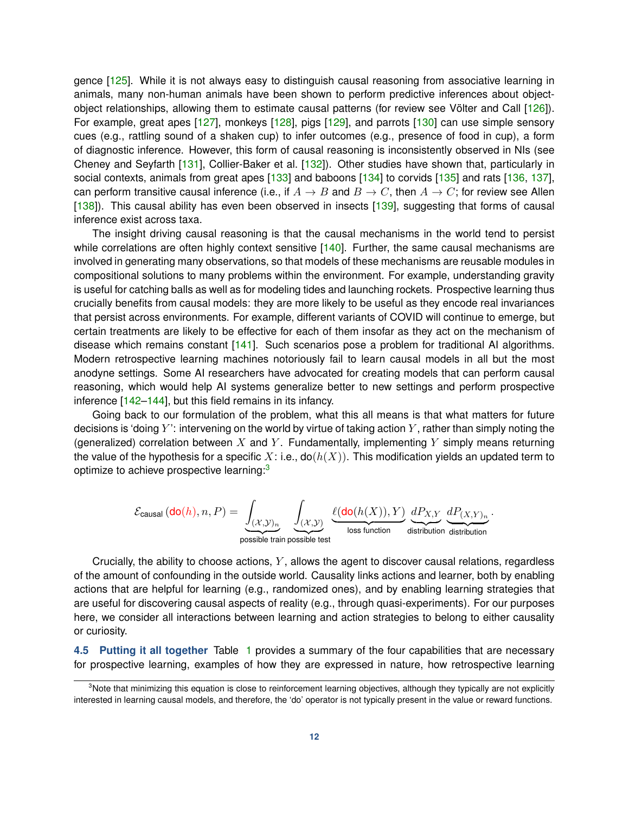gence [\[125\]](#page-23-14). While it is not always easy to distinguish causal reasoning from associative learning in animals, many non-human animals have been shown to perform predictive inferences about objectobject relationships, allowing them to estimate causal patterns (for review see Völter and Call [\[126\]](#page-23-15)). For example, great apes [\[127\]](#page-23-16), monkeys [\[128\]](#page-23-17), pigs [\[129\]](#page-23-18), and parrots [\[130\]](#page-23-19) can use simple sensory cues (e.g., rattling sound of a shaken cup) to infer outcomes (e.g., presence of food in cup), a form of diagnostic inference. However, this form of causal reasoning is inconsistently observed in NIs (see Cheney and Seyfarth [\[131\]](#page-24-0), Collier-Baker et al. [\[132\]](#page-24-1)). Other studies have shown that, particularly in social contexts, animals from great apes [\[133\]](#page-24-2) and baboons [\[134\]](#page-24-3) to corvids [\[135\]](#page-24-4) and rats [\[136,](#page-24-5) [137\]](#page-24-6), can perform transitive causal inference (i.e., if  $A \to B$  and  $B \to C$ , then  $A \to C$ ; for review see Allen [\[138\]](#page-24-7)). This causal ability has even been observed in insects [\[139\]](#page-24-8), suggesting that forms of causal inference exist across taxa.

The insight driving causal reasoning is that the causal mechanisms in the world tend to persist while correlations are often highly context sensitive  $[140]$ . Further, the same causal mechanisms are involved in generating many observations, so that models of these mechanisms are reusable modules in compositional solutions to many problems within the environment. For example, understanding gravity is useful for catching balls as well as for modeling tides and launching rockets. Prospective learning thus crucially benefits from causal models: they are more likely to be useful as they encode real invariances that persist across environments. For example, different variants of COVID will continue to emerge, but certain treatments are likely to be effective for each of them insofar as they act on the mechanism of disease which remains constant [\[141\]](#page-24-10). Such scenarios pose a problem for traditional AI algorithms. Modern retrospective learning machines notoriously fail to learn causal models in all but the most anodyne settings. Some AI researchers have advocated for creating models that can perform causal reasoning, which would help AI systems generalize better to new settings and perform prospective inference [\[142](#page-24-11)[–144\]](#page-24-12), but this field remains in its infancy.

Going back to our formulation of the problem, what this all means is that what matters for future decisions is 'doing  $Y'$ : intervening on the world by virtue of taking action  $Y$ , rather than simply noting the (generalized) correlation between X and Y. Fundamentally, implementing Y simply means returning the value of the hypothesis for a specific X: i.e.,  $do(h(X))$ . This modification yields an updated term to optimize to achieve prospective learning:<sup>[3](#page-11-0)</sup>

$$
\mathcal{E}_{\text{causal}}\left(\text{do}(h),n,P\right) = \underbrace{\int_{(\mathcal{X},\mathcal{Y})_n}}_{\text{possible train possible test}}\underbrace{\int_{(\mathcal{X},\mathcal{Y})} \underbrace{\ell(\text{do}(h(X)),Y)}_{\text{loss function}}\underbrace{dP_{X,Y}}_{\text{distribution distribution distribution}}
$$

.

Crucially, the ability to choose actions,  $Y$ , allows the agent to discover causal relations, regardless of the amount of confounding in the outside world. Causality links actions and learner, both by enabling actions that are helpful for learning (e.g., randomized ones), and by enabling learning strategies that are useful for discovering causal aspects of reality (e.g., through quasi-experiments). For our purposes here, we consider all interactions between learning and action strategies to belong to either causality or curiosity.

**4.5 Putting it all together** Table [1](#page-13-1) provides a summary of the four capabilities that are necessary for prospective learning, examples of how they are expressed in nature, how retrospective learning

<span id="page-11-0"></span><sup>&</sup>lt;sup>3</sup>Note that minimizing this equation is close to reinforcement learning objectives, although they typically are not explicitly interested in learning causal models, and therefore, the 'do' operator is not typically present in the value or reward functions.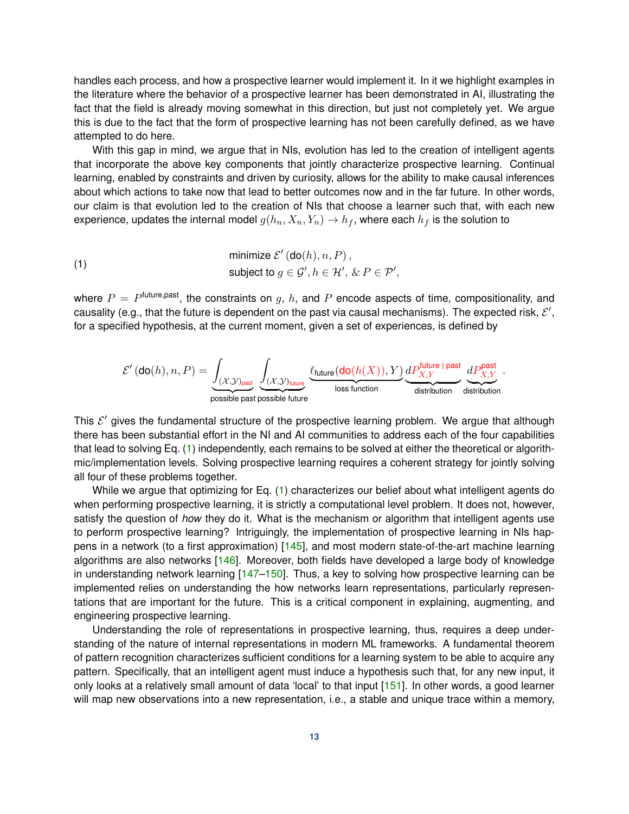handles each process, and how a prospective learner would implement it. In it we highlight examples in the literature where the behavior of a prospective learner has been demonstrated in AI, illustrating the fact that the field is already moving somewhat in this direction, but just not completely yet. We argue this is due to the fact that the form of prospective learning has not been carefully defined, as we have attempted to do here.

With this gap in mind, we argue that in NIs, evolution has led to the creation of intelligent agents that incorporate the above key components that jointly characterize prospective learning. Continual learning, enabled by constraints and driven by curiosity, allows for the ability to make causal inferences about which actions to take now that lead to better outcomes now and in the far future. In other words, our claim is that evolution led to the creation of NIs that choose a learner such that, with each new experience, updates the internal model  $g(h_n, X_n, Y_n) \to h_f$ , where each  $h_f$  is the solution to

<span id="page-12-0"></span>(1)

\nminimize 
$$
\mathcal{E}'(\text{do}(h), n, P)
$$
,

\nsubject to  $g \in \mathcal{G}', h \in \mathcal{H}', \& P \in \mathcal{P}'$ ,

where  $P = P^{\text{future},\text{past}},$  the constraints on  $g,~h,$  and  $P$  encode aspects of time, compositionality, and causality (e.g., that the future is dependent on the past via causal mechanisms). The expected risk,  $\mathcal{E}',$ for a specified hypothesis, at the current moment, given a set of experiences, is defined by

$$
\mathcal{E}'\left(\text{do}(h),n,P\right) = \underbrace{\int_{(\mathcal{X},\mathcal{Y})_{\text{past}}}\underbrace{\int_{(\mathcal{X},\mathcal{Y})_{\text{future}}}\underbrace{\ell_{\text{future}}(\text{do}(h(X)),Y)}_{\text{loss function}}\underbrace{\mu P_{X,Y}^{\text{future}\,|\,\text{past}}}_{\text{distribution}}\underbrace{\mu P_{X,Y}^{\text{past}}}{\text{distribution}}.
$$

This  $\mathcal{E}'$  gives the fundamental structure of the prospective learning problem. We argue that although there has been substantial effort in the NI and AI communities to address each of the four capabilities that lead to solving Eq. [\(1\)](#page-12-0) independently, each remains to be solved at either the theoretical or algorithmic/implementation levels. Solving prospective learning requires a coherent strategy for jointly solving all four of these problems together.

While we argue that optimizing for Eq. [\(1\)](#page-12-0) characterizes our belief about what intelligent agents do when performing prospective learning, it is strictly a computational level problem. It does not, however, satisfy the question of *how* they do it. What is the mechanism or algorithm that intelligent agents use to perform prospective learning? Intriguingly, the implementation of prospective learning in NIs happens in a network (to a first approximation) [\[145\]](#page-24-13), and most modern state-of-the-art machine learning algorithms are also networks [\[146\]](#page-24-14). Moreover, both fields have developed a large body of knowledge in understanding network learning [\[147](#page-24-15)[–150\]](#page-25-0). Thus, a key to solving how prospective learning can be implemented relies on understanding the how networks learn representations, particularly representations that are important for the future. This is a critical component in explaining, augmenting, and engineering prospective learning.

Understanding the role of representations in prospective learning, thus, requires a deep understanding of the nature of internal representations in modern ML frameworks. A fundamental theorem of pattern recognition characterizes sufficient conditions for a learning system to be able to acquire any pattern. Specifically, that an intelligent agent must induce a hypothesis such that, for any new input, it only looks at a relatively small amount of data 'local' to that input [\[151\]](#page-25-1). In other words, a good learner will map new observations into a new representation, i.e., a stable and unique trace within a memory,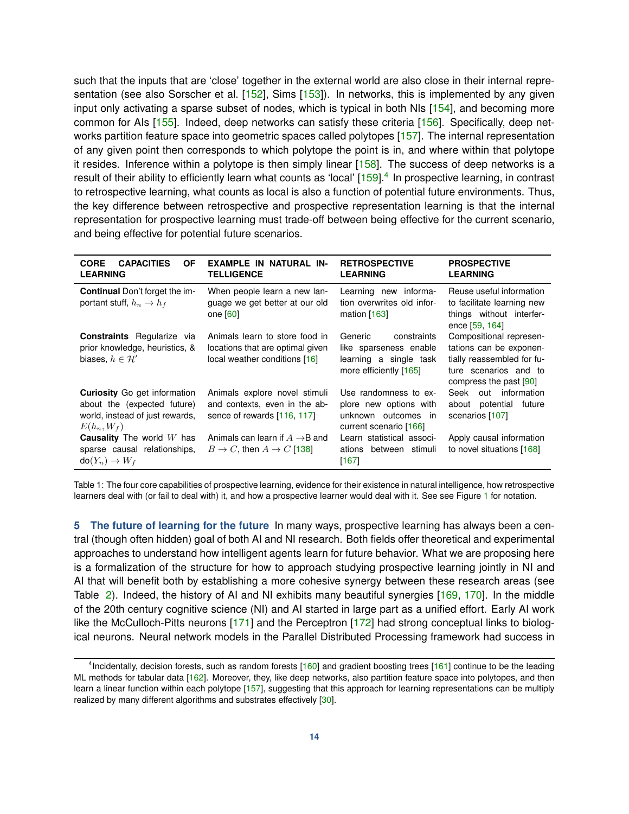such that the inputs that are 'close' together in the external world are also close in their internal repre-sentation (see also Sorscher et al. [\[152\]](#page-25-2), Sims [\[153\]](#page-25-3)). In networks, this is implemented by any given input only activating a sparse subset of nodes, which is typical in both NIs [\[154\]](#page-25-4), and becoming more common for AIs [\[155\]](#page-25-5). Indeed, deep networks can satisfy these criteria [\[156\]](#page-25-6). Specifically, deep net-works partition feature space into geometric spaces called polytopes [\[157\]](#page-25-7). The internal representation of any given point then corresponds to which polytope the point is in, and where within that polytope it resides. Inference within a polytope is then simply linear [\[158\]](#page-25-8). The success of deep networks is a result of their ability to efficiently learn what counts as 'local' [\[159\]](#page-25-9).<sup>[4](#page-13-2)</sup> In prospective learning, in contrast to retrospective learning, what counts as local is also a function of potential future environments. Thus, the key difference between retrospective and prospective representation learning is that the internal representation for prospective learning must trade-off between being effective for the current scenario, and being effective for potential future scenarios.

<span id="page-13-1"></span>

| <b>CAPACITIES</b><br><b>CORE</b><br>0F<br><b>LEARNING</b>                                                              | EXAMPLE IN NATURAL IN-<br><b>TELLIGENCE</b>                                                         | <b>RETROSPECTIVE</b><br><b>LEARNING</b>                                                              | <b>PROSPECTIVE</b><br><b>LEARNING</b>                                                                                               |
|------------------------------------------------------------------------------------------------------------------------|-----------------------------------------------------------------------------------------------------|------------------------------------------------------------------------------------------------------|-------------------------------------------------------------------------------------------------------------------------------------|
| <b>Continual Don't forget the im-</b><br>portant stuff, $h_n \to h_f$                                                  | When people learn a new lan-<br>guage we get better at our old<br>one $[60]$                        | Learning new informa-<br>tion overwrites old infor-<br>mation $[163]$                                | Reuse useful information<br>to facilitate learning new<br>things without interfer-<br>ence [59, 164]                                |
| <b>Constraints</b> Regularize via<br>prior knowledge, heuristics, &<br>biases, $h \in \mathcal{H}'$                    | Animals learn to store food in<br>locations that are optimal given<br>local weather conditions [16] | constraints<br>Generic<br>like sparseness enable<br>learning a single task<br>more efficiently [165] | Compositional represen-<br>tations can be exponen-<br>tially reassembled for fu-<br>ture scenarios and to<br>compress the past [90] |
| <b>Curiosity</b> Go get information<br>about the (expected future)<br>world, instead of just rewards,<br>$E(h_n, W_f)$ | Animals explore novel stimuli<br>and contexts, even in the ab-<br>sence of rewards [116, 117]       | Use randomness to ex-<br>plore new options with<br>unknown outcomes in<br>current scenario [166]     | Seek out information<br>potential future<br>about<br>scenarios [107]                                                                |
| <b>Causality</b> The world $W$ has<br>sparse causal relationships.<br>$do(Y_n) \to W_f$                                | Animals can learn if $A\to B$ and<br>$B \to C$ , then $A \to C$ [138]                               | Learn statistical associ-<br>ations between stimuli<br>[167]                                         | Apply causal information<br>to novel situations [168]                                                                               |

Table 1: The four core capabilities of prospective learning, evidence for their existence in natural intelligence, how retrospective learners deal with (or fail to deal with) it, and how a prospective learner would deal with it. See see Figure [1](#page-2-1) for notation.

<span id="page-13-0"></span>**5 The future of learning for the future** In many ways, prospective learning has always been a central (though often hidden) goal of both AI and NI research. Both fields offer theoretical and experimental approaches to understand how intelligent agents learn for future behavior. What we are proposing here is a formalization of the structure for how to approach studying prospective learning jointly in NI and AI that will benefit both by establishing a more cohesive synergy between these research areas (see Table [2\)](#page-14-0). Indeed, the history of AI and NI exhibits many beautiful synergies [\[169,](#page-26-1) [170\]](#page-26-2). In the middle of the 20th century cognitive science (NI) and AI started in large part as a unified effort. Early AI work like the McCulloch-Pitts neurons [\[171\]](#page-26-3) and the Perceptron [\[172\]](#page-26-4) had strong conceptual links to biological neurons. Neural network models in the Parallel Distributed Processing framework had success in

<span id="page-13-2"></span><sup>&</sup>lt;sup>4</sup> Incidentally, decision forests, such as random forests [\[160\]](#page-25-15) and gradient boosting trees [\[161\]](#page-25-16) continue to be the leading ML methods for tabular data [\[162\]](#page-25-17). Moreover, they, like deep networks, also partition feature space into polytopes, and then learn a linear function within each polytope [\[157\]](#page-25-7), suggesting that this approach for learning representations can be multiply realized by many different algorithms and substrates effectively [\[30\]](#page-19-4).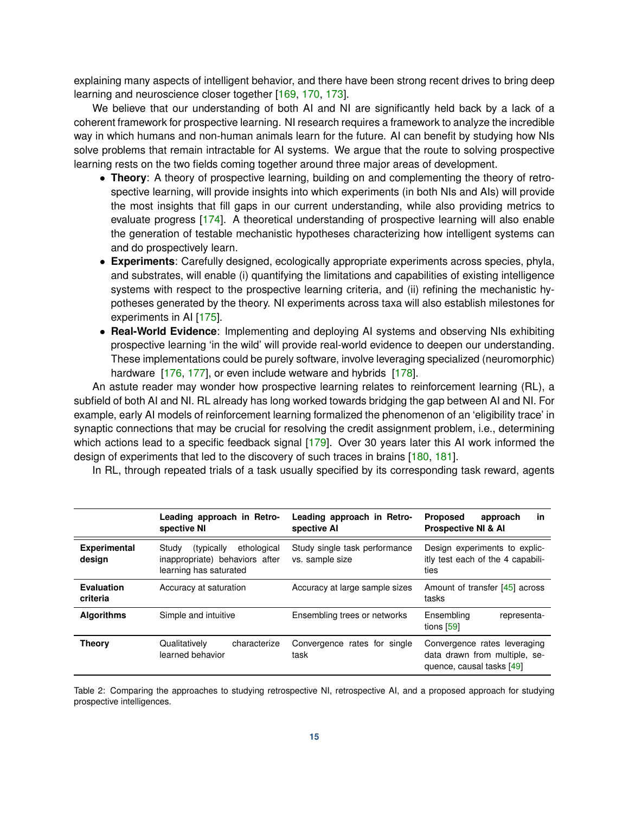explaining many aspects of intelligent behavior, and there have been strong recent drives to bring deep learning and neuroscience closer together [\[169,](#page-26-1) [170,](#page-26-2) [173\]](#page-26-5).

We believe that our understanding of both AI and NI are significantly held back by a lack of a coherent framework for prospective learning. NI research requires a framework to analyze the incredible way in which humans and non-human animals learn for the future. AI can benefit by studying how NIs solve problems that remain intractable for AI systems. We argue that the route to solving prospective learning rests on the two fields coming together around three major areas of development.

- **Theory**: A theory of prospective learning, building on and complementing the theory of retrospective learning, will provide insights into which experiments (in both NIs and AIs) will provide the most insights that fill gaps in our current understanding, while also providing metrics to evaluate progress [\[174\]](#page-26-6). A theoretical understanding of prospective learning will also enable the generation of testable mechanistic hypotheses characterizing how intelligent systems can and do prospectively learn.
- **Experiments**: Carefully designed, ecologically appropriate experiments across species, phyla, and substrates, will enable (i) quantifying the limitations and capabilities of existing intelligence systems with respect to the prospective learning criteria, and (ii) refining the mechanistic hypotheses generated by the theory. NI experiments across taxa will also establish milestones for experiments in AI [\[175\]](#page-26-7).
- **Real-World Evidence**: Implementing and deploying AI systems and observing NIs exhibiting prospective learning 'in the wild' will provide real-world evidence to deepen our understanding. These implementations could be purely software, involve leveraging specialized (neuromorphic) hardware [\[176,](#page-26-8) [177\]](#page-26-9), or even include wetware and hybrids [\[178\]](#page-26-10).

An astute reader may wonder how prospective learning relates to reinforcement learning (RL), a subfield of both AI and NI. RL already has long worked towards bridging the gap between AI and NI. For example, early AI models of reinforcement learning formalized the phenomenon of an 'eligibility trace' in synaptic connections that may be crucial for resolving the credit assignment problem, i.e., determining which actions lead to a specific feedback signal [\[179\]](#page-26-11). Over 30 years later this AI work informed the design of experiments that led to the discovery of such traces in brains [\[180,](#page-26-12) [181\]](#page-26-13).

In RL, through repeated trials of a task usually specified by its corresponding task reward, agents

<span id="page-14-0"></span>

|                               | Leading approach in Retro-<br>spective NI                                                       | Leading approach in Retro-<br>spective AI        | <b>Proposed</b><br>approach<br>in<br><b>Prospective NI &amp; AI</b>                        |
|-------------------------------|-------------------------------------------------------------------------------------------------|--------------------------------------------------|--------------------------------------------------------------------------------------------|
| <b>Experimental</b><br>design | ethological<br>Study<br>(typically)<br>inappropriate) behaviors after<br>learning has saturated | Study single task performance<br>vs. sample size | Design experiments to explic-<br>itly test each of the 4 capabili-<br>ties                 |
| Evaluation<br>criteria        | Accuracy at saturation                                                                          | Accuracy at large sample sizes                   | Amount of transfer [45] across<br>tasks                                                    |
| <b>Algorithms</b>             | Simple and intuitive                                                                            | Ensembling trees or networks                     | Ensembling<br>representa-<br>tions [59]                                                    |
| <b>Theory</b>                 | characterize<br>Qualitatively<br>learned behavior                                               | Convergence rates for single<br>task             | Convergence rates leveraging<br>data drawn from multiple, se-<br>quence, causal tasks [49] |

Table 2: Comparing the approaches to studying retrospective NI, retrospective AI, and a proposed approach for studying prospective intelligences.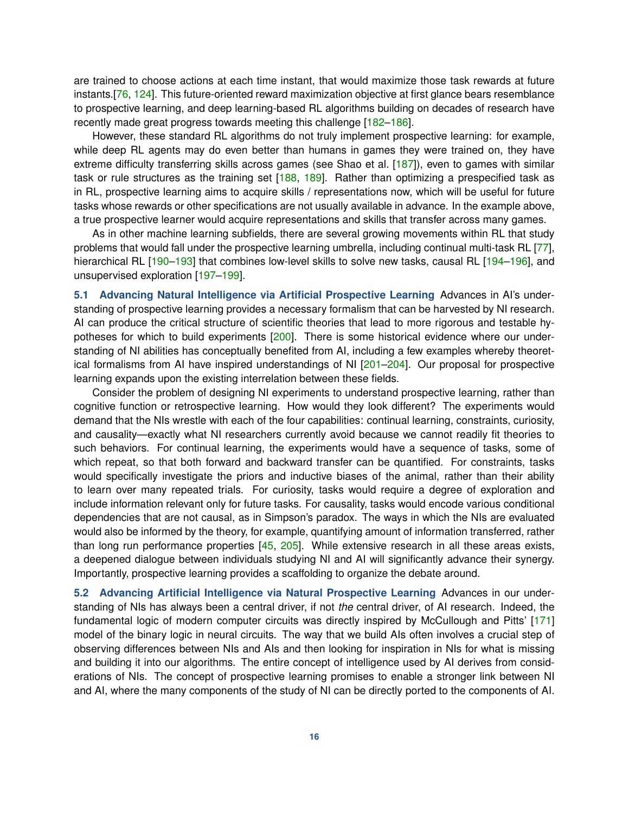are trained to choose actions at each time instant, that would maximize those task rewards at future instants.[\[76,](#page-21-7) [124\]](#page-23-13). This future-oriented reward maximization objective at first glance bears resemblance to prospective learning, and deep learning-based RL algorithms building on decades of research have recently made great progress towards meeting this challenge [\[182](#page-26-14)[–186\]](#page-27-0).

However, these standard RL algorithms do not truly implement prospective learning: for example, while deep RL agents may do even better than humans in games they were trained on, they have extreme difficulty transferring skills across games (see Shao et al. [\[187\]](#page-27-1)), even to games with similar task or rule structures as the training set [\[188,](#page-27-2) [189\]](#page-27-3). Rather than optimizing a prespecified task as in RL, prospective learning aims to acquire skills / representations now, which will be useful for future tasks whose rewards or other specifications are not usually available in advance. In the example above, a true prospective learner would acquire representations and skills that transfer across many games.

As in other machine learning subfields, there are several growing movements within RL that study problems that would fall under the prospective learning umbrella, including continual multi-task RL [\[77\]](#page-21-8), hierarchical RL [\[190–](#page-27-4)[193\]](#page-27-5) that combines low-level skills to solve new tasks, causal RL [\[194](#page-27-6)[–196\]](#page-27-7), and unsupervised exploration [\[197](#page-27-8)[–199\]](#page-27-9).

**5.1 Advancing Natural Intelligence via Artificial Prospective Learning** Advances in AI's understanding of prospective learning provides a necessary formalism that can be harvested by NI research. AI can produce the critical structure of scientific theories that lead to more rigorous and testable hypotheses for which to build experiments [\[200\]](#page-27-10). There is some historical evidence where our understanding of NI abilities has conceptually benefited from AI, including a few examples whereby theoretical formalisms from AI have inspired understandings of NI [\[201](#page-27-11)[–204\]](#page-28-0). Our proposal for prospective learning expands upon the existing interrelation between these fields.

Consider the problem of designing NI experiments to understand prospective learning, rather than cognitive function or retrospective learning. How would they look different? The experiments would demand that the NIs wrestle with each of the four capabilities: continual learning, constraints, curiosity, and causality—exactly what NI researchers currently avoid because we cannot readily fit theories to such behaviors. For continual learning, the experiments would have a sequence of tasks, some of which repeat, so that both forward and backward transfer can be quantified. For constraints, tasks would specifically investigate the priors and inductive biases of the animal, rather than their ability to learn over many repeated trials. For curiosity, tasks would require a degree of exploration and include information relevant only for future tasks. For causality, tasks would encode various conditional dependencies that are not causal, as in Simpson's paradox. The ways in which the NIs are evaluated would also be informed by the theory, for example, quantifying amount of information transferred, rather than long run performance properties [\[45,](#page-19-18) [205\]](#page-28-1). While extensive research in all these areas exists, a deepened dialogue between individuals studying NI and AI will significantly advance their synergy. Importantly, prospective learning provides a scaffolding to organize the debate around.

**5.2 Advancing Artificial Intelligence via Natural Prospective Learning** Advances in our understanding of NIs has always been a central driver, if not *the* central driver, of AI research. Indeed, the fundamental logic of modern computer circuits was directly inspired by McCullough and Pitts' [\[171\]](#page-26-3) model of the binary logic in neural circuits. The way that we build AIs often involves a crucial step of observing differences between NIs and AIs and then looking for inspiration in NIs for what is missing and building it into our algorithms. The entire concept of intelligence used by AI derives from considerations of NIs. The concept of prospective learning promises to enable a stronger link between NI and AI, where the many components of the study of NI can be directly ported to the components of AI.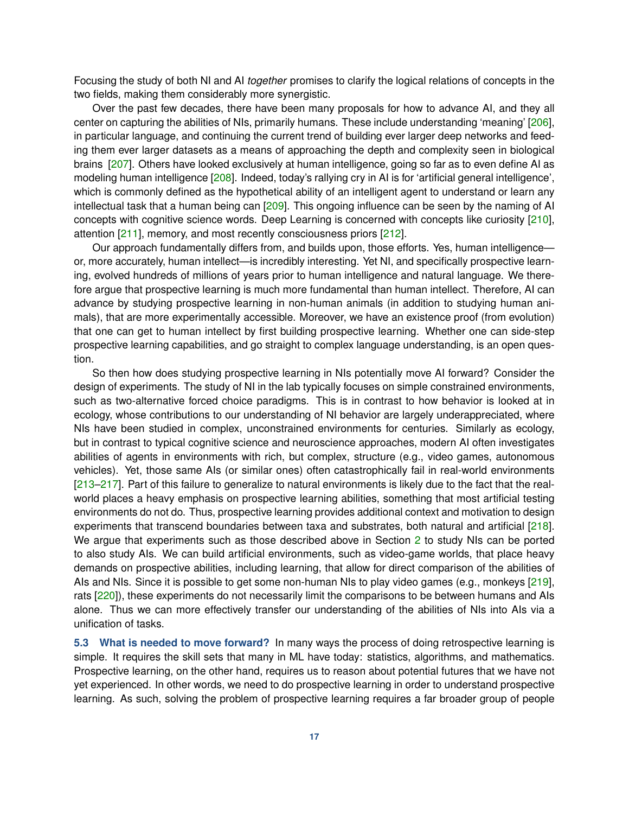Focusing the study of both NI and AI *together* promises to clarify the logical relations of concepts in the two fields, making them considerably more synergistic.

Over the past few decades, there have been many proposals for how to advance AI, and they all center on capturing the abilities of NIs, primarily humans. These include understanding 'meaning' [\[206\]](#page-28-2), in particular language, and continuing the current trend of building ever larger deep networks and feeding them ever larger datasets as a means of approaching the depth and complexity seen in biological brains [\[207\]](#page-28-3). Others have looked exclusively at human intelligence, going so far as to even define AI as modeling human intelligence [\[208\]](#page-28-4). Indeed, today's rallying cry in AI is for 'artificial general intelligence', which is commonly defined as the hypothetical ability of an intelligent agent to understand or learn any intellectual task that a human being can [\[209\]](#page-28-5). This ongoing influence can be seen by the naming of AI concepts with cognitive science words. Deep Learning is concerned with concepts like curiosity [\[210\]](#page-28-6), attention [\[211\]](#page-28-7), memory, and most recently consciousness priors [\[212\]](#page-28-8).

Our approach fundamentally differs from, and builds upon, those efforts. Yes, human intelligence or, more accurately, human intellect—is incredibly interesting. Yet NI, and specifically prospective learning, evolved hundreds of millions of years prior to human intelligence and natural language. We therefore argue that prospective learning is much more fundamental than human intellect. Therefore, AI can advance by studying prospective learning in non-human animals (in addition to studying human animals), that are more experimentally accessible. Moreover, we have an existence proof (from evolution) that one can get to human intellect by first building prospective learning. Whether one can side-step prospective learning capabilities, and go straight to complex language understanding, is an open question.

So then how does studying prospective learning in NIs potentially move AI forward? Consider the design of experiments. The study of NI in the lab typically focuses on simple constrained environments, such as two-alternative forced choice paradigms. This is in contrast to how behavior is looked at in ecology, whose contributions to our understanding of NI behavior are largely underappreciated, where NIs have been studied in complex, unconstrained environments for centuries. Similarly as ecology, but in contrast to typical cognitive science and neuroscience approaches, modern AI often investigates abilities of agents in environments with rich, but complex, structure (e.g., video games, autonomous vehicles). Yet, those same AIs (or similar ones) often catastrophically fail in real-world environments [\[213](#page-28-9)[–217\]](#page-28-10). Part of this failure to generalize to natural environments is likely due to the fact that the realworld places a heavy emphasis on prospective learning abilities, something that most artificial testing environments do not do. Thus, prospective learning provides additional context and motivation to design experiments that transcend boundaries between taxa and substrates, both natural and artificial [\[218\]](#page-28-11). We argue that experiments such as those described above in Section [2](#page-2-0) to study NIs can be ported to also study AIs. We can build artificial environments, such as video-game worlds, that place heavy demands on prospective abilities, including learning, that allow for direct comparison of the abilities of AIs and NIs. Since it is possible to get some non-human NIs to play video games (e.g., monkeys [\[219\]](#page-28-12), rats [\[220\]](#page-28-13)), these experiments do not necessarily limit the comparisons to be between humans and AIs alone. Thus we can more effectively transfer our understanding of the abilities of NIs into AIs via a unification of tasks.

**5.3 What is needed to move forward?** In many ways the process of doing retrospective learning is simple. It requires the skill sets that many in ML have today: statistics, algorithms, and mathematics. Prospective learning, on the other hand, requires us to reason about potential futures that we have not yet experienced. In other words, we need to do prospective learning in order to understand prospective learning. As such, solving the problem of prospective learning requires a far broader group of people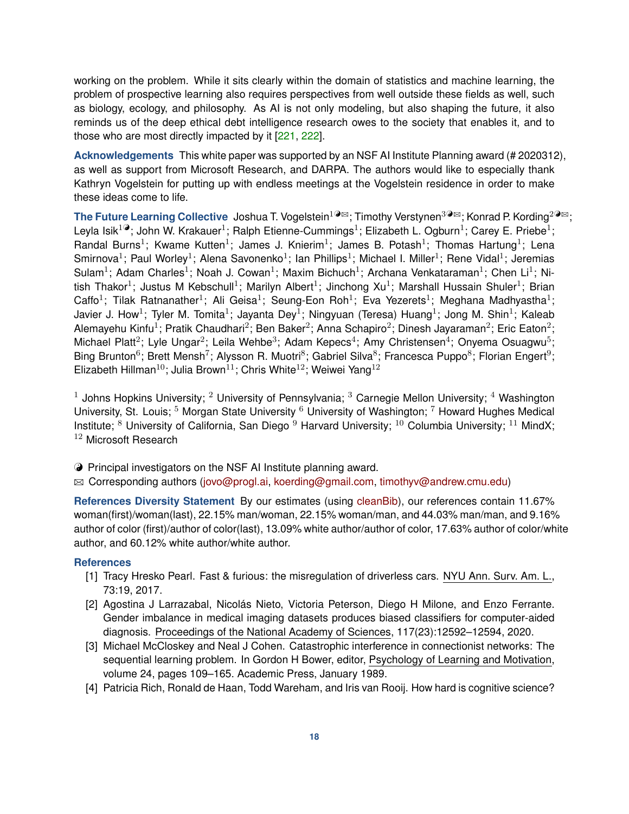working on the problem. While it sits clearly within the domain of statistics and machine learning, the problem of prospective learning also requires perspectives from well outside these fields as well, such as biology, ecology, and philosophy. As AI is not only modeling, but also shaping the future, it also reminds us of the deep ethical debt intelligence research owes to the society that enables it, and to those who are most directly impacted by it [\[221,](#page-28-14) [222\]](#page-28-15).

**Acknowledgements** This white paper was supported by an NSF AI Institute Planning award (# 2020312), as well as support from Microsoft Research, and DARPA. The authors would like to especially thank Kathryn Vogelstein for putting up with endless meetings at the Vogelstein residence in order to make these ideas come to life.

**The Future Learning Collective** Joshua T. Vogelstein<sup>1⊙</sup><sup>⊠</sup>; Timothy Verstynen<sup>3⊙⊠</sup>; Konrad P. Kording<sup>2⊙⊠</sup>; Leyla Isik<sup>1@</sup>; John W. Krakauer<sup>1</sup>; Ralph Etienne-Cummings<sup>1</sup>; Elizabeth L. Ogburn<sup>1</sup>; Carey E. Priebe<sup>1</sup>; Randal Burns<sup>1</sup>; Kwame Kutten<sup>1</sup>; James J. Knierim<sup>1</sup>; James B. Potash<sup>1</sup>; Thomas Hartung<sup>1</sup>; Lena Smirnova<sup>1</sup>; Paul Worley<sup>1</sup>; Alena Savonenko<sup>1</sup>; Ian Phillips<sup>1</sup>; Michael I. Miller<sup>1</sup>; Rene Vidal<sup>1</sup>; Jeremias Sulam<sup>1</sup>; Adam Charles<sup>1</sup>; Noah J. Cowan<sup>1</sup>; Maxim Bichuch<sup>1</sup>; Archana Venkataraman<sup>1</sup>; Chen Li<sup>1</sup>; Nitish Thakor<sup>1</sup>; Justus M Kebschull<sup>1</sup>; Marilyn Albert<sup>1</sup>; Jinchong Xu<sup>1</sup>; Marshall Hussain Shuler<sup>1</sup>; Brian Caffo<sup>1</sup>; Tilak Ratnanather<sup>1</sup>; Ali Geisa<sup>1</sup>; Seung-Eon Roh<sup>1</sup>; Eva Yezerets<sup>1</sup>; Meghana Madhyastha<sup>1</sup>; Javier J. How<sup>1</sup>; Tyler M. Tomita<sup>1</sup>; Jayanta Dey<sup>1</sup>; Ningyuan (Teresa) Huang<sup>1</sup>; Jong M. Shin<sup>1</sup>; Kaleab Alemayehu Kinfu<sup>1</sup>; Pratik Chaudhari<sup>2</sup>; Ben Baker<sup>2</sup>; Anna Schapiro<sup>2</sup>; Dinesh Jayaraman<sup>2</sup>; Eric Eaton<sup>2</sup>; Michael Platt<sup>2</sup>; Lyle Ungar<sup>2</sup>; Leila Wehbe<sup>3</sup>; Adam Kepecs<sup>4</sup>; Amy Christensen<sup>4</sup>; Onyema Osuagwu<sup>5</sup>; Bing Brunton<sup>6</sup>; Brett Mensh<sup>7</sup>; Alysson R. Muotri<sup>8</sup>; Gabriel Silva<sup>8</sup>; Francesca Puppo<sup>8</sup>; Florian Engert<sup>9</sup>; Elizabeth Hillman<sup>10</sup>; Julia Brown<sup>11</sup>; Chris White<sup>12</sup>; Weiwei Yang<sup>12</sup>

<sup>1</sup> Johns Hopkins University; <sup>2</sup> University of Pennsylvania; <sup>3</sup> Carnegie Mellon University; <sup>4</sup> Washington University, St. Louis; <sup>5</sup> Morgan State University <sup>6</sup> University of Washington; <sup>7</sup> Howard Hughes Medical Institute;  $8$  University of California, San Diego  $9$  Harvard University;  $10$  Columbia University;  $11$  MindX; <sup>12</sup> Microsoft Research

 $\Theta$  Principal investigators on the NSF AI Institute planning award.

 $\boxtimes$  Corresponding authors [\(jovo@progl.ai,](mailto:jovo@progl.ai) [koerding@gmail.com,](mailto:koerding@gmail.com) [timothyv@andrew.cmu.edu\)](mailto:timothyv@andrew.cmu.edu)

**References Diversity Statement** By our estimates (using [cleanBib\)](https://github.com/dalejn/cleanBib), our references contain 11.67% woman(first)/woman(last), 22.15% man/woman, 22.15% woman/man, and 44.03% man/man, and 9.16% author of color (first)/author of color(last), 13.09% white author/author of color, 17.63% author of color/white author, and 60.12% white author/white author.

## **References**

- <span id="page-17-0"></span>[1] Tracy Hresko Pearl. Fast & furious: the misregulation of driverless cars. NYU Ann. Surv. Am. L., 73:19, 2017.
- <span id="page-17-1"></span>[2] Agostina J Larrazabal, Nicolás Nieto, Victoria Peterson, Diego H Milone, and Enzo Ferrante. Gender imbalance in medical imaging datasets produces biased classifiers for computer-aided diagnosis. Proceedings of the National Academy of Sciences, 117(23):12592–12594, 2020.
- <span id="page-17-2"></span>[3] Michael McCloskey and Neal J Cohen. Catastrophic interference in connectionist networks: The sequential learning problem. In Gordon H Bower, editor, Psychology of Learning and Motivation, volume 24, pages 109–165. Academic Press, January 1989.
- <span id="page-17-3"></span>[4] Patricia Rich, Ronald de Haan, Todd Wareham, and Iris van Rooij. How hard is cognitive science?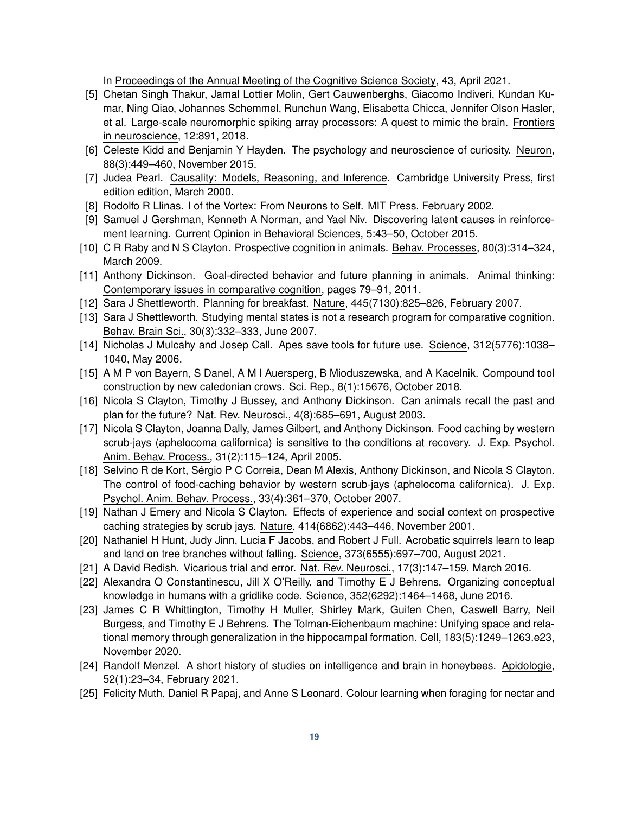In Proceedings of the Annual Meeting of the Cognitive Science Society, 43, April 2021.

- <span id="page-18-0"></span>[5] Chetan Singh Thakur, Jamal Lottier Molin, Gert Cauwenberghs, Giacomo Indiveri, Kundan Kumar, Ning Qiao, Johannes Schemmel, Runchun Wang, Elisabetta Chicca, Jennifer Olson Hasler, et al. Large-scale neuromorphic spiking array processors: A quest to mimic the brain. Frontiers in neuroscience, 12:891, 2018.
- <span id="page-18-1"></span>[6] Celeste Kidd and Benjamin Y Hayden. The psychology and neuroscience of curiosity. Neuron, 88(3):449–460, November 2015.
- <span id="page-18-2"></span>[7] Judea Pearl. Causality: Models, Reasoning, and Inference. Cambridge University Press, first edition edition, March 2000.
- <span id="page-18-3"></span>[8] Rodolfo R Llinas. I of the Vortex: From Neurons to Self. MIT Press, February 2002.
- <span id="page-18-4"></span>[9] Samuel J Gershman, Kenneth A Norman, and Yael Niv. Discovering latent causes in reinforcement learning. Current Opinion in Behavioral Sciences, 5:43–50, October 2015.
- <span id="page-18-5"></span>[10] C R Raby and N S Clayton. Prospective cognition in animals. Behav. Processes, 80(3):314–324, March 2009.
- <span id="page-18-6"></span>[11] Anthony Dickinson. Goal-directed behavior and future planning in animals. Animal thinking: Contemporary issues in comparative cognition, pages 79–91, 2011.
- <span id="page-18-7"></span>[12] Sara J Shettleworth. Planning for breakfast. Nature, 445(7130):825–826, February 2007.
- <span id="page-18-8"></span>[13] Sara J Shettleworth. Studying mental states is not a research program for comparative cognition. Behav. Brain Sci., 30(3):332–333, June 2007.
- <span id="page-18-9"></span>[14] Nicholas J Mulcahy and Josep Call. Apes save tools for future use. Science, 312(5776):1038– 1040, May 2006.
- <span id="page-18-10"></span>[15] A M P von Bayern, S Danel, A M I Auersperg, B Mioduszewska, and A Kacelnik. Compound tool construction by new caledonian crows. Sci. Rep., 8(1):15676, October 2018.
- <span id="page-18-11"></span>[16] Nicola S Clayton, Timothy J Bussey, and Anthony Dickinson. Can animals recall the past and plan for the future? Nat. Rev. Neurosci., 4(8):685–691, August 2003.
- <span id="page-18-12"></span>[17] Nicola S Clayton, Joanna Dally, James Gilbert, and Anthony Dickinson. Food caching by western scrub-jays (aphelocoma californica) is sensitive to the conditions at recovery. J. Exp. Psychol. Anim. Behav. Process., 31(2):115–124, April 2005.
- <span id="page-18-13"></span>[18] Selvino R de Kort, Sérgio P C Correia, Dean M Alexis, Anthony Dickinson, and Nicola S Clayton. The control of food-caching behavior by western scrub-jays (aphelocoma californica). J. Exp. Psychol. Anim. Behav. Process., 33(4):361–370, October 2007.
- <span id="page-18-14"></span>[19] Nathan J Emery and Nicola S Clayton. Effects of experience and social context on prospective caching strategies by scrub jays. Nature, 414(6862):443–446, November 2001.
- <span id="page-18-15"></span>[20] Nathaniel H Hunt, Judy Jinn, Lucia F Jacobs, and Robert J Full. Acrobatic squirrels learn to leap and land on tree branches without falling. Science, 373(6555):697–700, August 2021.
- <span id="page-18-16"></span>[21] A David Redish. Vicarious trial and error. Nat. Rev. Neurosci., 17(3):147–159, March 2016.
- <span id="page-18-17"></span>[22] Alexandra O Constantinescu, Jill X O'Reilly, and Timothy E J Behrens. Organizing conceptual knowledge in humans with a gridlike code. Science, 352(6292):1464–1468, June 2016.
- <span id="page-18-18"></span>[23] James C R Whittington, Timothy H Muller, Shirley Mark, Guifen Chen, Caswell Barry, Neil Burgess, and Timothy E J Behrens. The Tolman-Eichenbaum machine: Unifying space and relational memory through generalization in the hippocampal formation. Cell, 183(5):1249–1263.e23, November 2020.
- <span id="page-18-19"></span>[24] Randolf Menzel. A short history of studies on intelligence and brain in honeybees. Apidologie, 52(1):23–34, February 2021.
- <span id="page-18-20"></span>[25] Felicity Muth, Daniel R Papaj, and Anne S Leonard. Colour learning when foraging for nectar and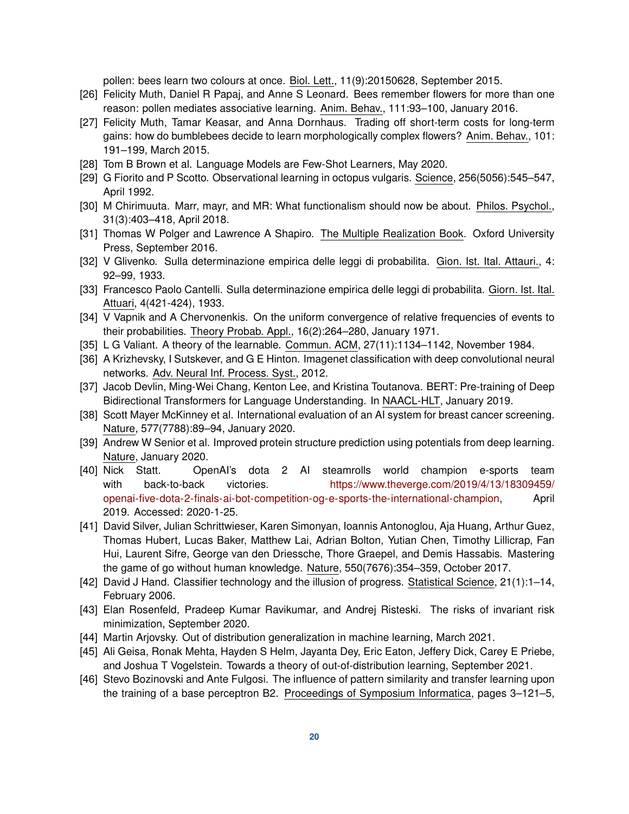pollen: bees learn two colours at once. Biol. Lett., 11(9):20150628, September 2015.

- <span id="page-19-0"></span>[26] Felicity Muth, Daniel R Papaj, and Anne S Leonard. Bees remember flowers for more than one reason: pollen mediates associative learning. Anim. Behav., 111:93–100, January 2016.
- <span id="page-19-1"></span>[27] Felicity Muth, Tamar Keasar, and Anna Dornhaus. Trading off short-term costs for long-term gains: how do bumblebees decide to learn morphologically complex flowers? Anim. Behav., 101: 191–199, March 2015.
- <span id="page-19-2"></span>[28] Tom B Brown et al. Language Models are Few-Shot Learners, May 2020.
- <span id="page-19-3"></span>[29] G Fiorito and P Scotto. Observational learning in octopus vulgaris. Science, 256(5056):545–547, April 1992.
- <span id="page-19-4"></span>[30] M Chirimuuta. Marr, mayr, and MR: What functionalism should now be about. Philos. Psychol., 31(3):403–418, April 2018.
- <span id="page-19-5"></span>[31] Thomas W Polger and Lawrence A Shapiro. The Multiple Realization Book. Oxford University Press, September 2016.
- <span id="page-19-6"></span>[32] V Glivenko. Sulla determinazione empirica delle leggi di probabilita. Gion. Ist. Ital. Attauri., 4: 92–99, 1933.
- <span id="page-19-7"></span>[33] Francesco Paolo Cantelli. Sulla determinazione empirica delle leggi di probabilita. Giorn. Ist. Ital. Attuari, 4(421-424), 1933.
- <span id="page-19-8"></span>[34] V Vapnik and A Chervonenkis. On the uniform convergence of relative frequencies of events to their probabilities. Theory Probab. Appl., 16(2):264–280, January 1971.
- <span id="page-19-9"></span>[35] L G Valiant. A theory of the learnable. Commun. ACM, 27(11):1134–1142, November 1984.
- <span id="page-19-10"></span>[36] A Krizhevsky, I Sutskever, and G E Hinton. Imagenet classification with deep convolutional neural networks. Adv. Neural Inf. Process. Syst., 2012.
- <span id="page-19-11"></span>[37] Jacob Devlin, Ming-Wei Chang, Kenton Lee, and Kristina Toutanova. BERT: Pre-training of Deep Bidirectional Transformers for Language Understanding. In NAACL-HLT, January 2019.
- <span id="page-19-12"></span>[38] Scott Mayer McKinney et al. International evaluation of an AI system for breast cancer screening. Nature, 577(7788):89–94, January 2020.
- <span id="page-19-13"></span>[39] Andrew W Senior et al. Improved protein structure prediction using potentials from deep learning. Nature, January 2020.
- <span id="page-19-14"></span>[40] Nick Statt. OpenAI's dota 2 AI steamrolls world champion e-sports team with back-to-back victories. [https://www.theverge.com/2019/4/13/18309459/](https://www.theverge.com/2019/4/13/18309459/openai-five-dota-2-finals-ai-bot-competition-og-e-sports-the-international-champion) [openai-five-dota-2-finals-ai-bot-competition-og-e-sports-the-international-champion,](https://www.theverge.com/2019/4/13/18309459/openai-five-dota-2-finals-ai-bot-competition-og-e-sports-the-international-champion) April 2019. Accessed: 2020-1-25.
- <span id="page-19-15"></span>[41] David Silver, Julian Schrittwieser, Karen Simonyan, Ioannis Antonoglou, Aja Huang, Arthur Guez, Thomas Hubert, Lucas Baker, Matthew Lai, Adrian Bolton, Yutian Chen, Timothy Lillicrap, Fan Hui, Laurent Sifre, George van den Driessche, Thore Graepel, and Demis Hassabis. Mastering the game of go without human knowledge. Nature, 550(7676):354–359, October 2017.
- <span id="page-19-16"></span>[42] David J Hand. Classifier technology and the illusion of progress. Statistical Science, 21(1):1–14, February 2006.
- <span id="page-19-17"></span>[43] Elan Rosenfeld, Pradeep Kumar Ravikumar, and Andrej Risteski. The risks of invariant risk minimization, September 2020.
- [44] Martin Arjovsky. Out of distribution generalization in machine learning, March 2021.
- <span id="page-19-18"></span>[45] Ali Geisa, Ronak Mehta, Hayden S Helm, Jayanta Dey, Eric Eaton, Jeffery Dick, Carey E Priebe, and Joshua T Vogelstein. Towards a theory of out-of-distribution learning, September 2021.
- <span id="page-19-19"></span>[46] Stevo Bozinovski and Ante Fulgosi. The influence of pattern similarity and transfer learning upon the training of a base perceptron B2. Proceedings of Symposium Informatica, pages 3–121–5,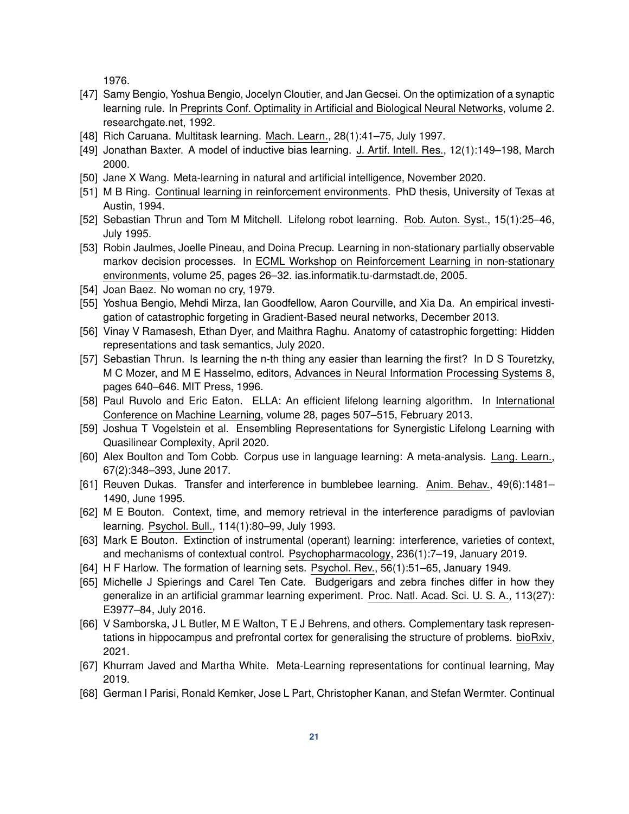1976.

- <span id="page-20-0"></span>[47] Samy Bengio, Yoshua Bengio, Jocelyn Cloutier, and Jan Gecsei. On the optimization of a synaptic learning rule. In Preprints Conf. Optimality in Artificial and Biological Neural Networks, volume 2. researchgate.net, 1992.
- [48] Rich Caruana. Multitask learning. Mach. Learn., 28(1):41–75, July 1997.
- <span id="page-20-1"></span>[49] Jonathan Baxter. A model of inductive bias learning. J. Artif. Intell. Res., 12(1):149–198, March 2000.
- <span id="page-20-2"></span>[50] Jane X Wang. Meta-learning in natural and artificial intelligence, November 2020.
- <span id="page-20-3"></span>[51] M B Ring. Continual learning in reinforcement environments. PhD thesis, University of Texas at Austin, 1994.
- <span id="page-20-4"></span>[52] Sebastian Thrun and Tom M Mitchell. Lifelong robot learning. Rob. Auton. Syst., 15(1):25–46, July 1995.
- <span id="page-20-5"></span>[53] Robin Jaulmes, Joelle Pineau, and Doina Precup. Learning in non-stationary partially observable markov decision processes. In ECML Workshop on Reinforcement Learning in non-stationary environments, volume 25, pages 26–32. ias.informatik.tu-darmstadt.de, 2005.
- <span id="page-20-6"></span>[54] Joan Baez. No woman no cry, 1979.
- <span id="page-20-7"></span>[55] Yoshua Bengio, Mehdi Mirza, Ian Goodfellow, Aaron Courville, and Xia Da. An empirical investigation of catastrophic forgeting in Gradient-Based neural networks, December 2013.
- <span id="page-20-8"></span>[56] Vinay V Ramasesh, Ethan Dyer, and Maithra Raghu. Anatomy of catastrophic forgetting: Hidden representations and task semantics, July 2020.
- <span id="page-20-9"></span>[57] Sebastian Thrun. Is learning the n-th thing any easier than learning the first? In D S Touretzky, M C Mozer, and M E Hasselmo, editors, Advances in Neural Information Processing Systems 8, pages 640–646. MIT Press, 1996.
- <span id="page-20-12"></span>[58] Paul Ruvolo and Eric Eaton. ELLA: An efficient lifelong learning algorithm. In International Conference on Machine Learning, volume 28, pages 507–515, February 2013.
- <span id="page-20-10"></span>[59] Joshua T Vogelstein et al. Ensembling Representations for Synergistic Lifelong Learning with Quasilinear Complexity, April 2020.
- <span id="page-20-11"></span>[60] Alex Boulton and Tom Cobb. Corpus use in language learning: A meta-analysis. Lang. Learn., 67(2):348–393, June 2017.
- <span id="page-20-13"></span>[61] Reuven Dukas. Transfer and interference in bumblebee learning. Anim. Behav., 49(6):1481– 1490, June 1995.
- <span id="page-20-14"></span>[62] M E Bouton. Context, time, and memory retrieval in the interference paradigms of pavlovian learning. Psychol. Bull., 114(1):80–99, July 1993.
- <span id="page-20-15"></span>[63] Mark E Bouton. Extinction of instrumental (operant) learning: interference, varieties of context, and mechanisms of contextual control. Psychopharmacology, 236(1):7–19, January 2019.
- <span id="page-20-16"></span>[64] H F Harlow. The formation of learning sets. Psychol. Rev., 56(1):51–65, January 1949.
- [65] Michelle J Spierings and Carel Ten Cate. Budgerigars and zebra finches differ in how they generalize in an artificial grammar learning experiment. Proc. Natl. Acad. Sci. U. S. A., 113(27): E3977–84, July 2016.
- <span id="page-20-17"></span>[66] V Samborska, J L Butler, M E Walton, T E J Behrens, and others. Complementary task representations in hippocampus and prefrontal cortex for generalising the structure of problems. bioRxiv, 2021.
- <span id="page-20-18"></span>[67] Khurram Javed and Martha White. Meta-Learning representations for continual learning, May 2019.
- <span id="page-20-19"></span>[68] German I Parisi, Ronald Kemker, Jose L Part, Christopher Kanan, and Stefan Wermter. Continual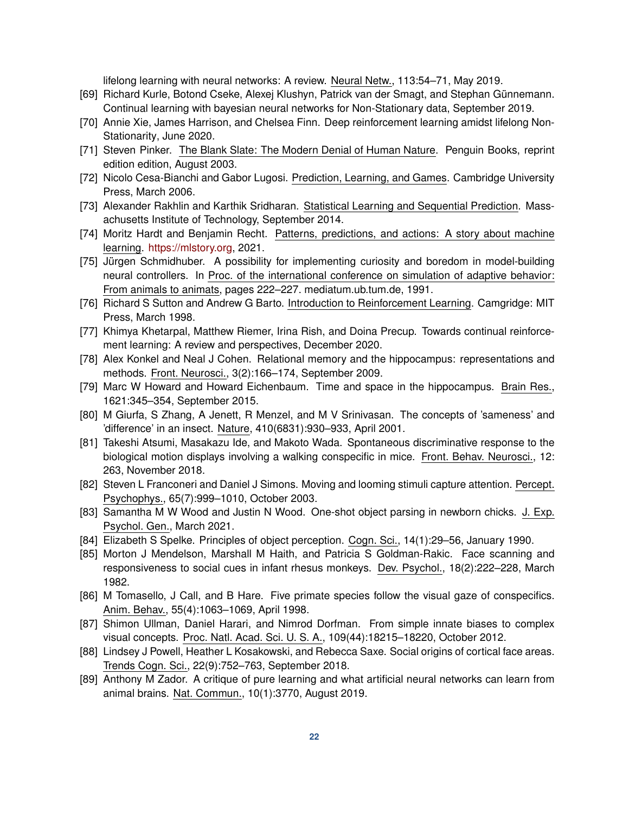lifelong learning with neural networks: A review. Neural Netw., 113:54–71, May 2019.

- <span id="page-21-0"></span>[69] Richard Kurle, Botond Cseke, Alexej Klushyn, Patrick van der Smagt, and Stephan Günnemann. Continual learning with bayesian neural networks for Non-Stationary data, September 2019.
- <span id="page-21-1"></span>[70] Annie Xie, James Harrison, and Chelsea Finn. Deep reinforcement learning amidst lifelong Non-Stationarity, June 2020.
- <span id="page-21-2"></span>[71] Steven Pinker. The Blank Slate: The Modern Denial of Human Nature. Penguin Books, reprint edition edition, August 2003.
- <span id="page-21-3"></span>[72] Nicolo Cesa-Bianchi and Gabor Lugosi. Prediction, Learning, and Games. Cambridge University Press, March 2006.
- <span id="page-21-4"></span>[73] Alexander Rakhlin and Karthik Sridharan. Statistical Learning and Sequential Prediction. Massachusetts Institute of Technology, September 2014.
- <span id="page-21-5"></span>[74] Moritz Hardt and Benjamin Recht. Patterns, predictions, and actions: A story about machine learning. [https://mlstory.org,](https://mlstory.org) 2021.
- <span id="page-21-6"></span>[75] Jürgen Schmidhuber. A possibility for implementing curiosity and boredom in model-building neural controllers. In Proc. of the international conference on simulation of adaptive behavior: From animals to animats, pages 222–227. mediatum.ub.tum.de, 1991.
- <span id="page-21-7"></span>[76] Richard S Sutton and Andrew G Barto. Introduction to Reinforcement Learning. Camgridge: MIT Press, March 1998.
- <span id="page-21-8"></span>[77] Khimya Khetarpal, Matthew Riemer, Irina Rish, and Doina Precup. Towards continual reinforcement learning: A review and perspectives, December 2020.
- <span id="page-21-9"></span>[78] Alex Konkel and Neal J Cohen. Relational memory and the hippocampus: representations and methods. Front. Neurosci., 3(2):166–174, September 2009.
- <span id="page-21-10"></span>[79] Marc W Howard and Howard Eichenbaum. Time and space in the hippocampus. Brain Res., 1621:345–354, September 2015.
- <span id="page-21-11"></span>[80] M Giurfa, S Zhang, A Jenett, R Menzel, and M V Srinivasan. The concepts of 'sameness' and 'difference' in an insect. Nature, 410(6831):930–933, April 2001.
- <span id="page-21-12"></span>[81] Takeshi Atsumi, Masakazu Ide, and Makoto Wada. Spontaneous discriminative response to the biological motion displays involving a walking conspecific in mice. Front. Behav. Neurosci., 12: 263, November 2018.
- <span id="page-21-13"></span>[82] Steven L Franconeri and Daniel J Simons. Moving and looming stimuli capture attention. Percept. Psychophys., 65(7):999–1010, October 2003.
- <span id="page-21-14"></span>[83] Samantha M W Wood and Justin N Wood. One-shot object parsing in newborn chicks. J. Exp. Psychol. Gen., March 2021.
- <span id="page-21-15"></span>[84] Elizabeth S Spelke. Principles of object perception. Cogn. Sci., 14(1):29–56, January 1990.
- <span id="page-21-16"></span>[85] Morton J Mendelson, Marshall M Haith, and Patricia S Goldman-Rakic. Face scanning and responsiveness to social cues in infant rhesus monkeys. Dev. Psychol., 18(2):222–228, March 1982.
- <span id="page-21-17"></span>[86] M Tomasello, J Call, and B Hare. Five primate species follow the visual gaze of conspecifics. Anim. Behav., 55(4):1063–1069, April 1998.
- <span id="page-21-18"></span>[87] Shimon Ullman, Daniel Harari, and Nimrod Dorfman. From simple innate biases to complex visual concepts. Proc. Natl. Acad. Sci. U. S. A., 109(44):18215–18220, October 2012.
- <span id="page-21-19"></span>[88] Lindsey J Powell, Heather L Kosakowski, and Rebecca Saxe. Social origins of cortical face areas. Trends Cogn. Sci., 22(9):752–763, September 2018.
- <span id="page-21-20"></span>[89] Anthony M Zador. A critique of pure learning and what artificial neural networks can learn from animal brains. Nat. Commun., 10(1):3770, August 2019.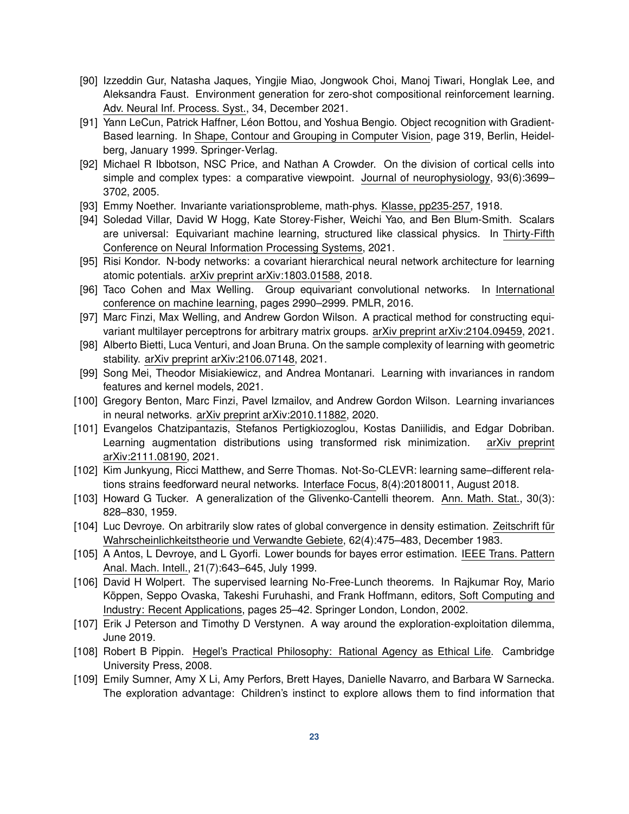- <span id="page-22-0"></span>[90] Izzeddin Gur, Natasha Jaques, Yingjie Miao, Jongwook Choi, Manoj Tiwari, Honglak Lee, and Aleksandra Faust. Environment generation for zero-shot compositional reinforcement learning. Adv. Neural Inf. Process. Syst., 34, December 2021.
- <span id="page-22-1"></span>[91] Yann LeCun, Patrick Haffner, Léon Bottou, and Yoshua Bengio. Object recognition with Gradient-Based learning. In Shape, Contour and Grouping in Computer Vision, page 319, Berlin, Heidelberg, January 1999. Springer-Verlag.
- <span id="page-22-2"></span>[92] Michael R Ibbotson, NSC Price, and Nathan A Crowder. On the division of cortical cells into simple and complex types: a comparative viewpoint. Journal of neurophysiology, 93(6):3699– 3702, 2005.
- <span id="page-22-3"></span>[93] Emmy Noether. Invariante variationsprobleme, math-phys. Klasse, pp235-257, 1918.
- <span id="page-22-4"></span>[94] Soledad Villar, David W Hogg, Kate Storey-Fisher, Weichi Yao, and Ben Blum-Smith. Scalars are universal: Equivariant machine learning, structured like classical physics. In Thirty-Fifth Conference on Neural Information Processing Systems, 2021.
- [95] Risi Kondor. N-body networks: a covariant hierarchical neural network architecture for learning atomic potentials. arXiv preprint arXiv:1803.01588, 2018.
- [96] Taco Cohen and Max Welling. Group equivariant convolutional networks. In International conference on machine learning, pages 2990–2999. PMLR, 2016.
- <span id="page-22-5"></span>[97] Marc Finzi, Max Welling, and Andrew Gordon Wilson. A practical method for constructing equivariant multilayer perceptrons for arbitrary matrix groups. arXiv preprint arXiv:2104.09459, 2021.
- <span id="page-22-6"></span>[98] Alberto Bietti, Luca Venturi, and Joan Bruna. On the sample complexity of learning with geometric stability. arXiv preprint arXiv:2106.07148, 2021.
- <span id="page-22-7"></span>[99] Song Mei, Theodor Misiakiewicz, and Andrea Montanari. Learning with invariances in random features and kernel models, 2021.
- <span id="page-22-8"></span>[100] Gregory Benton, Marc Finzi, Pavel Izmailov, and Andrew Gordon Wilson. Learning invariances in neural networks. arXiv preprint arXiv:2010.11882, 2020.
- <span id="page-22-9"></span>[101] Evangelos Chatzipantazis, Stefanos Pertigkiozoglou, Kostas Daniilidis, and Edgar Dobriban. Learning augmentation distributions using transformed risk minimization. arXiv preprint arXiv:2111.08190, 2021.
- <span id="page-22-10"></span>[102] Kim Junkyung, Ricci Matthew, and Serre Thomas. Not-So-CLEVR: learning same–different relations strains feedforward neural networks. Interface Focus, 8(4):20180011, August 2018.
- <span id="page-22-11"></span>[103] Howard G Tucker. A generalization of the Glivenko-Cantelli theorem. Ann. Math. Stat., 30(3): 828–830, 1959.
- <span id="page-22-12"></span>[104] Luc Devroye. On arbitrarily slow rates of global convergence in density estimation. Zeitschrift für Wahrscheinlichkeitstheorie und Verwandte Gebiete, 62(4):475–483, December 1983.
- <span id="page-22-13"></span>[105] A Antos, L Devroye, and L Gyorfi. Lower bounds for bayes error estimation. IEEE Trans. Pattern Anal. Mach. Intell., 21(7):643–645, July 1999.
- <span id="page-22-14"></span>[106] David H Wolpert. The supervised learning No-Free-Lunch theorems. In Rajkumar Roy, Mario Köppen, Seppo Ovaska, Takeshi Furuhashi, and Frank Hoffmann, editors, Soft Computing and Industry: Recent Applications, pages 25–42. Springer London, London, 2002.
- <span id="page-22-15"></span>[107] Erik J Peterson and Timothy D Verstynen. A way around the exploration-exploitation dilemma, June 2019.
- <span id="page-22-16"></span>[108] Robert B Pippin. Hegel's Practical Philosophy: Rational Agency as Ethical Life. Cambridge University Press, 2008.
- [109] Emily Sumner, Amy X Li, Amy Perfors, Brett Hayes, Danielle Navarro, and Barbara W Sarnecka. The exploration advantage: Children's instinct to explore allows them to find information that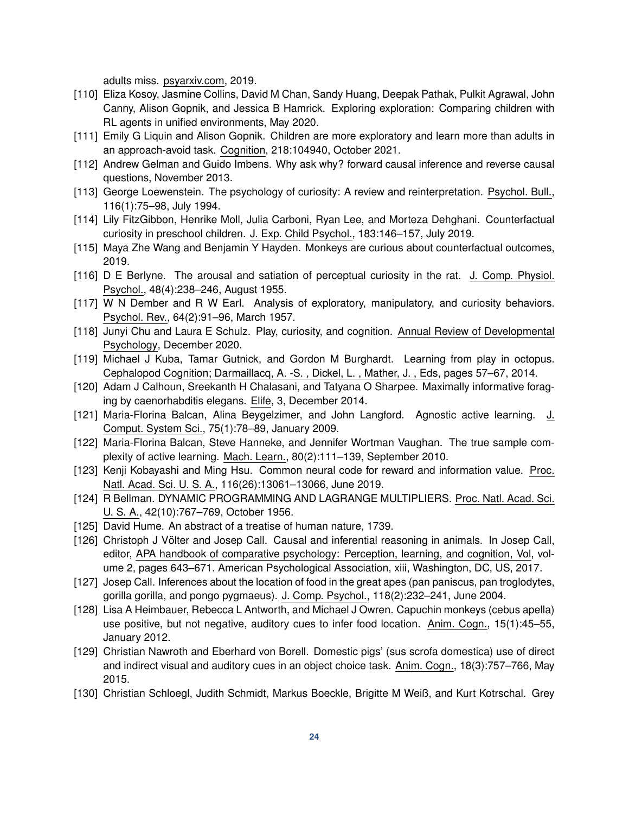adults miss. psyarxiv.com, 2019.

- [110] Eliza Kosoy, Jasmine Collins, David M Chan, Sandy Huang, Deepak Pathak, Pulkit Agrawal, John Canny, Alison Gopnik, and Jessica B Hamrick. Exploring exploration: Comparing children with RL agents in unified environments, May 2020.
- <span id="page-23-0"></span>[111] Emily G Liquin and Alison Gopnik. Children are more exploratory and learn more than adults in an approach-avoid task. Cognition, 218:104940, October 2021.
- <span id="page-23-1"></span>[112] Andrew Gelman and Guido Imbens. Why ask why? forward causal inference and reverse causal questions, November 2013.
- <span id="page-23-2"></span>[113] George Loewenstein. The psychology of curiosity: A review and reinterpretation. Psychol. Bull., 116(1):75–98, July 1994.
- <span id="page-23-3"></span>[114] Lily FitzGibbon, Henrike Moll, Julia Carboni, Ryan Lee, and Morteza Dehghani. Counterfactual curiosity in preschool children. J. Exp. Child Psychol., 183:146–157, July 2019.
- <span id="page-23-4"></span>[115] Maya Zhe Wang and Benjamin Y Hayden. Monkeys are curious about counterfactual outcomes, 2019.
- <span id="page-23-5"></span>[116] D E Berlyne. The arousal and satiation of perceptual curiosity in the rat. J. Comp. Physiol. Psychol., 48(4):238–246, August 1955.
- <span id="page-23-6"></span>[117] W N Dember and R W Earl. Analysis of exploratory, manipulatory, and curiosity behaviors. Psychol. Rev., 64(2):91–96, March 1957.
- <span id="page-23-7"></span>[118] Junyi Chu and Laura E Schulz. Play, curiosity, and cognition. Annual Review of Developmental Psychology, December 2020.
- <span id="page-23-8"></span>[119] Michael J Kuba, Tamar Gutnick, and Gordon M Burghardt. Learning from play in octopus. Cephalopod Cognition; Darmaillacq, A. -S. , Dickel, L. , Mather, J. , Eds, pages 57–67, 2014.
- <span id="page-23-9"></span>[120] Adam J Calhoun, Sreekanth H Chalasani, and Tatyana O Sharpee. Maximally informative foraging by caenorhabditis elegans. Elife, 3, December 2014.
- <span id="page-23-10"></span>[121] Maria-Florina Balcan, Alina Beygelzimer, and John Langford. Agnostic active learning. J. Comput. System Sci., 75(1):78–89, January 2009.
- <span id="page-23-11"></span>[122] Maria-Florina Balcan, Steve Hanneke, and Jennifer Wortman Vaughan. The true sample complexity of active learning. Mach. Learn., 80(2):111–139, September 2010.
- <span id="page-23-12"></span>[123] Kenji Kobayashi and Ming Hsu. Common neural code for reward and information value. Proc. Natl. Acad. Sci. U. S. A., 116(26):13061–13066, June 2019.
- <span id="page-23-13"></span>[124] R Bellman. DYNAMIC PROGRAMMING AND LAGRANGE MULTIPLIERS. Proc. Natl. Acad. Sci. U. S. A., 42(10):767–769, October 1956.
- <span id="page-23-14"></span>[125] David Hume. An abstract of a treatise of human nature, 1739.
- <span id="page-23-15"></span>[126] Christoph J Völter and Josep Call. Causal and inferential reasoning in animals. In Josep Call, editor, APA handbook of comparative psychology: Perception, learning, and cognition, Vol, volume 2, pages 643–671. American Psychological Association, xiii, Washington, DC, US, 2017.
- <span id="page-23-16"></span>[127] Josep Call. Inferences about the location of food in the great apes (pan paniscus, pan troglodytes, gorilla gorilla, and pongo pygmaeus). J. Comp. Psychol., 118(2):232–241, June 2004.
- <span id="page-23-17"></span>[128] Lisa A Heimbauer, Rebecca L Antworth, and Michael J Owren. Capuchin monkeys (cebus apella) use positive, but not negative, auditory cues to infer food location. Anim. Cogn., 15(1):45–55, January 2012.
- <span id="page-23-18"></span>[129] Christian Nawroth and Eberhard von Borell. Domestic pigs' (sus scrofa domestica) use of direct and indirect visual and auditory cues in an object choice task. Anim. Cogn., 18(3):757–766, May 2015.
- <span id="page-23-19"></span>[130] Christian Schloegl, Judith Schmidt, Markus Boeckle, Brigitte M Weiß, and Kurt Kotrschal. Grey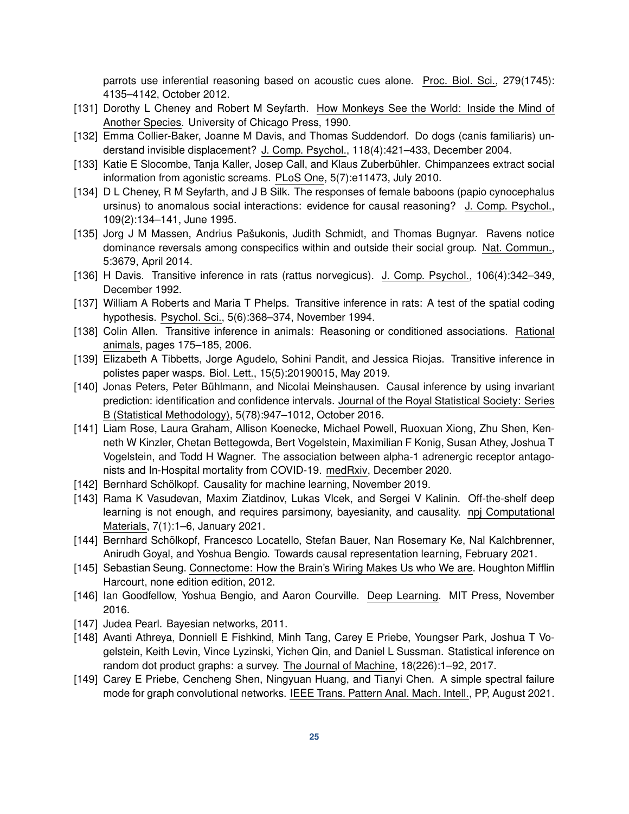parrots use inferential reasoning based on acoustic cues alone. Proc. Biol. Sci., 279(1745): 4135–4142, October 2012.

- <span id="page-24-0"></span>[131] Dorothy L Cheney and Robert M Seyfarth. How Monkeys See the World: Inside the Mind of Another Species. University of Chicago Press, 1990.
- <span id="page-24-1"></span>[132] Emma Collier-Baker, Joanne M Davis, and Thomas Suddendorf. Do dogs (canis familiaris) understand invisible displacement? J. Comp. Psychol., 118(4):421–433, December 2004.
- <span id="page-24-2"></span>[133] Katie E Slocombe, Tanja Kaller, Josep Call, and Klaus Zuberbühler. Chimpanzees extract social information from agonistic screams. PLoS One, 5(7):e11473, July 2010.
- <span id="page-24-3"></span>[134] D L Cheney, R M Seyfarth, and J B Silk. The responses of female baboons (papio cynocephalus ursinus) to anomalous social interactions: evidence for causal reasoning? J. Comp. Psychol., 109(2):134–141, June 1995.
- <span id="page-24-4"></span>[135] Jorg J M Massen, Andrius Pašukonis, Judith Schmidt, and Thomas Bugnyar. Ravens notice dominance reversals among conspecifics within and outside their social group. Nat. Commun., 5:3679, April 2014.
- <span id="page-24-5"></span>[136] H Davis. Transitive inference in rats (rattus norvegicus). J. Comp. Psychol., 106(4):342–349, December 1992.
- <span id="page-24-6"></span>[137] William A Roberts and Maria T Phelps. Transitive inference in rats: A test of the spatial coding hypothesis. Psychol. Sci., 5(6):368–374, November 1994.
- <span id="page-24-7"></span>[138] Colin Allen. Transitive inference in animals: Reasoning or conditioned associations. Rational animals, pages 175–185, 2006.
- <span id="page-24-8"></span>[139] Elizabeth A Tibbetts, Jorge Agudelo, Sohini Pandit, and Jessica Riojas. Transitive inference in polistes paper wasps. Biol. Lett., 15(5):20190015, May 2019.
- <span id="page-24-9"></span>[140] Jonas Peters, Peter Bühlmann, and Nicolai Meinshausen. Causal inference by using invariant prediction: identification and confidence intervals. Journal of the Royal Statistical Society: Series B (Statistical Methodology), 5(78):947–1012, October 2016.
- <span id="page-24-10"></span>[141] Liam Rose, Laura Graham, Allison Koenecke, Michael Powell, Ruoxuan Xiong, Zhu Shen, Kenneth W Kinzler, Chetan Bettegowda, Bert Vogelstein, Maximilian F Konig, Susan Athey, Joshua T Vogelstein, and Todd H Wagner. The association between alpha-1 adrenergic receptor antagonists and In-Hospital mortality from COVID-19. medRxiv, December 2020.
- <span id="page-24-11"></span>[142] Bernhard Schölkopf. Causality for machine learning, November 2019.
- [143] Rama K Vasudevan, Maxim Ziatdinov, Lukas Vlcek, and Sergei V Kalinin. Off-the-shelf deep learning is not enough, and requires parsimony, bayesianity, and causality. npj Computational Materials, 7(1):1–6, January 2021.
- <span id="page-24-12"></span>[144] Bernhard Schölkopf, Francesco Locatello, Stefan Bauer, Nan Rosemary Ke, Nal Kalchbrenner, Anirudh Goyal, and Yoshua Bengio. Towards causal representation learning, February 2021.
- <span id="page-24-13"></span>[145] Sebastian Seung. Connectome: How the Brain's Wiring Makes Us who We are. Houghton Mifflin Harcourt, none edition edition, 2012.
- <span id="page-24-14"></span>[146] Ian Goodfellow, Yoshua Bengio, and Aaron Courville. Deep Learning. MIT Press, November 2016.
- <span id="page-24-15"></span>[147] Judea Pearl. Bayesian networks, 2011.
- [148] Avanti Athreya, Donniell E Fishkind, Minh Tang, Carey E Priebe, Youngser Park, Joshua T Vogelstein, Keith Levin, Vince Lyzinski, Yichen Qin, and Daniel L Sussman. Statistical inference on random dot product graphs: a survey. The Journal of Machine, 18(226):1–92, 2017.
- [149] Carey E Priebe, Cencheng Shen, Ningyuan Huang, and Tianyi Chen. A simple spectral failure mode for graph convolutional networks. IEEE Trans. Pattern Anal. Mach. Intell., PP, August 2021.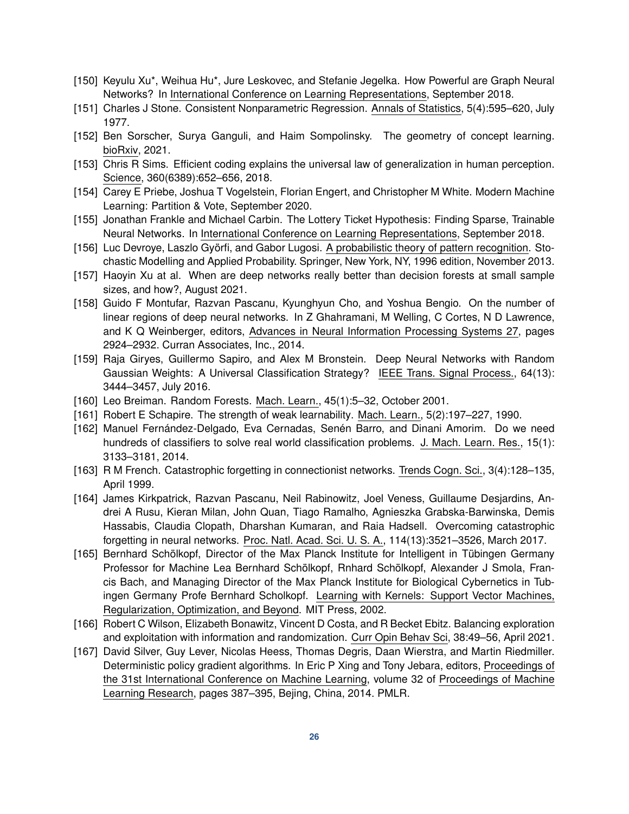- <span id="page-25-0"></span>[150] Keyulu Xu\*, Weihua Hu\*, Jure Leskovec, and Stefanie Jegelka. How Powerful are Graph Neural Networks? In International Conference on Learning Representations, September 2018.
- <span id="page-25-1"></span>[151] Charles J Stone. Consistent Nonparametric Regression. Annals of Statistics, 5(4):595–620, July 1977.
- <span id="page-25-2"></span>[152] Ben Sorscher, Surya Ganguli, and Haim Sompolinsky. The geometry of concept learning. bioRxiv, 2021.
- <span id="page-25-3"></span>[153] Chris R Sims. Efficient coding explains the universal law of generalization in human perception. Science, 360(6389):652–656, 2018.
- <span id="page-25-4"></span>[154] Carey E Priebe, Joshua T Vogelstein, Florian Engert, and Christopher M White. Modern Machine Learning: Partition & Vote, September 2020.
- <span id="page-25-5"></span>[155] Jonathan Frankle and Michael Carbin. The Lottery Ticket Hypothesis: Finding Sparse, Trainable Neural Networks. In International Conference on Learning Representations, September 2018.
- <span id="page-25-6"></span>[156] Luc Devroye, Laszlo Györfi, and Gabor Lugosi. A probabilistic theory of pattern recognition. Stochastic Modelling and Applied Probability. Springer, New York, NY, 1996 edition, November 2013.
- <span id="page-25-7"></span>[157] Haoyin Xu at al. When are deep networks really better than decision forests at small sample sizes, and how?, August 2021.
- <span id="page-25-8"></span>[158] Guido F Montufar, Razvan Pascanu, Kyunghyun Cho, and Yoshua Bengio. On the number of linear regions of deep neural networks. In Z Ghahramani, M Welling, C Cortes, N D Lawrence, and K Q Weinberger, editors, Advances in Neural Information Processing Systems 27, pages 2924–2932. Curran Associates, Inc., 2014.
- <span id="page-25-9"></span>[159] Raja Giryes, Guillermo Sapiro, and Alex M Bronstein. Deep Neural Networks with Random Gaussian Weights: A Universal Classification Strategy? IEEE Trans. Signal Process., 64(13): 3444–3457, July 2016.
- <span id="page-25-15"></span>[160] Leo Breiman. Random Forests. Mach. Learn., 45(1):5–32, October 2001.
- <span id="page-25-16"></span>[161] Robert E Schapire. The strength of weak learnability. Mach. Learn., 5(2):197–227, 1990.
- <span id="page-25-17"></span>[162] Manuel Fernández-Delgado, Eva Cernadas, Senén Barro, and Dinani Amorim. Do we need hundreds of classifiers to solve real world classification problems. J. Mach. Learn. Res., 15(1): 3133–3181, 2014.
- <span id="page-25-10"></span>[163] R M French. Catastrophic forgetting in connectionist networks. Trends Cogn. Sci., 3(4):128–135, April 1999.
- <span id="page-25-11"></span>[164] James Kirkpatrick, Razvan Pascanu, Neil Rabinowitz, Joel Veness, Guillaume Desjardins, Andrei A Rusu, Kieran Milan, John Quan, Tiago Ramalho, Agnieszka Grabska-Barwinska, Demis Hassabis, Claudia Clopath, Dharshan Kumaran, and Raia Hadsell. Overcoming catastrophic forgetting in neural networks. Proc. Natl. Acad. Sci. U. S. A., 114(13):3521–3526, March 2017.
- <span id="page-25-12"></span>[165] Bernhard Schölkopf, Director of the Max Planck Institute for Intelligent in Tübingen Germany Professor for Machine Lea Bernhard Schölkopf, Rnhard Schölkopf, Alexander J Smola, Francis Bach, and Managing Director of the Max Planck Institute for Biological Cybernetics in Tubingen Germany Profe Bernhard Scholkopf. Learning with Kernels: Support Vector Machines, Regularization, Optimization, and Beyond. MIT Press, 2002.
- <span id="page-25-13"></span>[166] Robert C Wilson, Elizabeth Bonawitz, Vincent D Costa, and R Becket Ebitz. Balancing exploration and exploitation with information and randomization. Curr Opin Behav Sci, 38:49–56, April 2021.
- <span id="page-25-14"></span>[167] David Silver, Guy Lever, Nicolas Heess, Thomas Degris, Daan Wierstra, and Martin Riedmiller. Deterministic policy gradient algorithms. In Eric P Xing and Tony Jebara, editors, Proceedings of the 31st International Conference on Machine Learning, volume 32 of Proceedings of Machine Learning Research, pages 387–395, Bejing, China, 2014. PMLR.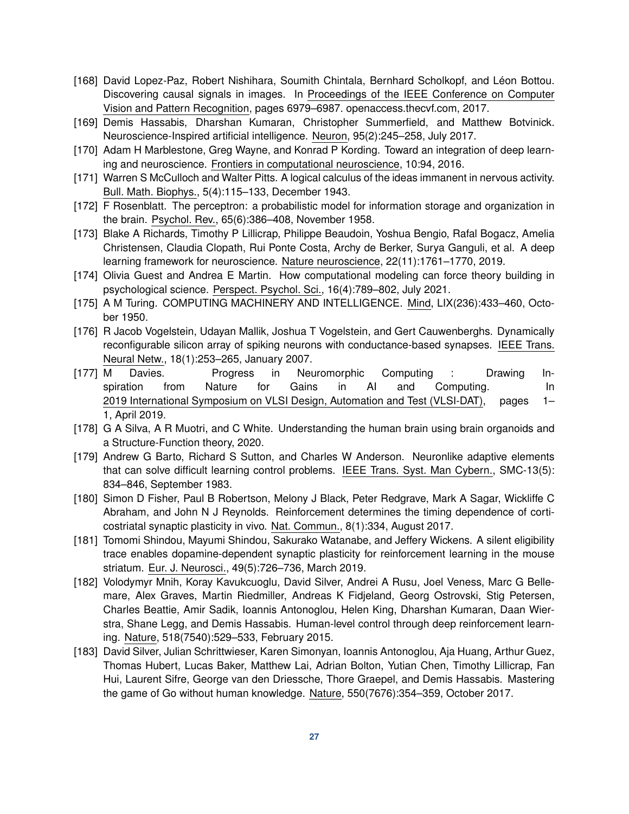- <span id="page-26-0"></span>[168] David Lopez-Paz, Robert Nishihara, Soumith Chintala, Bernhard Scholkopf, and Léon Bottou. Discovering causal signals in images. In Proceedings of the IEEE Conference on Computer Vision and Pattern Recognition, pages 6979–6987. openaccess.thecvf.com, 2017.
- <span id="page-26-1"></span>[169] Demis Hassabis, Dharshan Kumaran, Christopher Summerfield, and Matthew Botvinick. Neuroscience-Inspired artificial intelligence. Neuron, 95(2):245–258, July 2017.
- <span id="page-26-2"></span>[170] Adam H Marblestone, Greg Wayne, and Konrad P Kording. Toward an integration of deep learning and neuroscience. Frontiers in computational neuroscience, 10:94, 2016.
- <span id="page-26-3"></span>[171] Warren S McCulloch and Walter Pitts. A logical calculus of the ideas immanent in nervous activity. Bull. Math. Biophys., 5(4):115–133, December 1943.
- <span id="page-26-4"></span>[172] F Rosenblatt. The perceptron: a probabilistic model for information storage and organization in the brain. Psychol. Rev., 65(6):386–408, November 1958.
- <span id="page-26-5"></span>[173] Blake A Richards, Timothy P Lillicrap, Philippe Beaudoin, Yoshua Bengio, Rafal Bogacz, Amelia Christensen, Claudia Clopath, Rui Ponte Costa, Archy de Berker, Surya Ganguli, et al. A deep learning framework for neuroscience. Nature neuroscience, 22(11):1761–1770, 2019.
- <span id="page-26-6"></span>[174] Olivia Guest and Andrea E Martin. How computational modeling can force theory building in psychological science. Perspect. Psychol. Sci., 16(4):789–802, July 2021.
- <span id="page-26-7"></span>[175] A M Turing. COMPUTING MACHINERY AND INTELLIGENCE. Mind, LIX(236):433–460, October 1950.
- <span id="page-26-8"></span>[176] R Jacob Vogelstein, Udayan Mallik, Joshua T Vogelstein, and Gert Cauwenberghs. Dynamically reconfigurable silicon array of spiking neurons with conductance-based synapses. IEEE Trans. Neural Netw., 18(1):253–265, January 2007.
- <span id="page-26-9"></span>[177] M Davies. Progress in Neuromorphic Computing : Drawing Inspiration from Nature for Gains in AI and Computing. In 2019 International Symposium on VLSI Design, Automation and Test (VLSI-DAT), pages 1– 1, April 2019.
- <span id="page-26-10"></span>[178] G A Silva, A R Muotri, and C White. Understanding the human brain using brain organoids and a Structure-Function theory, 2020.
- <span id="page-26-11"></span>[179] Andrew G Barto, Richard S Sutton, and Charles W Anderson. Neuronlike adaptive elements that can solve difficult learning control problems. IEEE Trans. Syst. Man Cybern., SMC-13(5): 834–846, September 1983.
- <span id="page-26-12"></span>[180] Simon D Fisher, Paul B Robertson, Melony J Black, Peter Redgrave, Mark A Sagar, Wickliffe C Abraham, and John N J Reynolds. Reinforcement determines the timing dependence of corticostriatal synaptic plasticity in vivo. Nat. Commun., 8(1):334, August 2017.
- <span id="page-26-13"></span>[181] Tomomi Shindou, Mayumi Shindou, Sakurako Watanabe, and Jeffery Wickens. A silent eligibility trace enables dopamine-dependent synaptic plasticity for reinforcement learning in the mouse striatum. Eur. J. Neurosci., 49(5):726–736, March 2019.
- <span id="page-26-14"></span>[182] Volodymyr Mnih, Koray Kavukcuoglu, David Silver, Andrei A Rusu, Joel Veness, Marc G Bellemare, Alex Graves, Martin Riedmiller, Andreas K Fidjeland, Georg Ostrovski, Stig Petersen, Charles Beattie, Amir Sadik, Ioannis Antonoglou, Helen King, Dharshan Kumaran, Daan Wierstra, Shane Legg, and Demis Hassabis. Human-level control through deep reinforcement learning. Nature, 518(7540):529–533, February 2015.
- [183] David Silver, Julian Schrittwieser, Karen Simonyan, Ioannis Antonoglou, Aja Huang, Arthur Guez, Thomas Hubert, Lucas Baker, Matthew Lai, Adrian Bolton, Yutian Chen, Timothy Lillicrap, Fan Hui, Laurent Sifre, George van den Driessche, Thore Graepel, and Demis Hassabis. Mastering the game of Go without human knowledge. Nature, 550(7676):354–359, October 2017.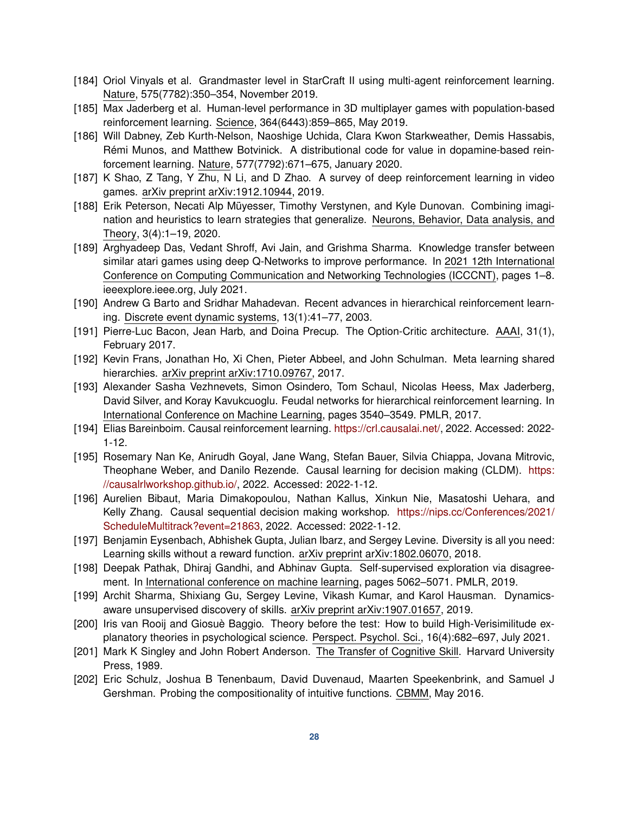- [184] Oriol Vinyals et al. Grandmaster level in StarCraft II using multi-agent reinforcement learning. Nature, 575(7782):350–354, November 2019.
- [185] Max Jaderberg et al. Human-level performance in 3D multiplayer games with population-based reinforcement learning. Science, 364(6443):859–865, May 2019.
- <span id="page-27-0"></span>[186] Will Dabney, Zeb Kurth-Nelson, Naoshige Uchida, Clara Kwon Starkweather, Demis Hassabis, Rémi Munos, and Matthew Botvinick. A distributional code for value in dopamine-based reinforcement learning. Nature, 577(7792):671–675, January 2020.
- <span id="page-27-1"></span>[187] K Shao, Z Tang, Y Zhu, N Li, and D Zhao. A survey of deep reinforcement learning in video games. arXiv preprint arXiv:1912.10944, 2019.
- <span id="page-27-2"></span>[188] Erik Peterson, Necati Alp Müyesser, Timothy Verstynen, and Kyle Dunovan. Combining imagination and heuristics to learn strategies that generalize. Neurons, Behavior, Data analysis, and Theory, 3(4):1–19, 2020.
- <span id="page-27-3"></span>[189] Arghyadeep Das, Vedant Shroff, Avi Jain, and Grishma Sharma. Knowledge transfer between similar atari games using deep Q-Networks to improve performance. In 2021 12th International Conference on Computing Communication and Networking Technologies (ICCCNT), pages 1–8. ieeexplore.ieee.org, July 2021.
- <span id="page-27-4"></span>[190] Andrew G Barto and Sridhar Mahadevan. Recent advances in hierarchical reinforcement learning. Discrete event dynamic systems, 13(1):41–77, 2003.
- [191] Pierre-Luc Bacon, Jean Harb, and Doina Precup. The Option-Critic architecture. AAAI, 31(1), February 2017.
- [192] Kevin Frans, Jonathan Ho, Xi Chen, Pieter Abbeel, and John Schulman. Meta learning shared hierarchies. arXiv preprint arXiv:1710.09767, 2017.
- <span id="page-27-5"></span>[193] Alexander Sasha Vezhnevets, Simon Osindero, Tom Schaul, Nicolas Heess, Max Jaderberg, David Silver, and Koray Kavukcuoglu. Feudal networks for hierarchical reinforcement learning. In International Conference on Machine Learning, pages 3540–3549. PMLR, 2017.
- <span id="page-27-6"></span>[194] Elias Bareinboim. Causal reinforcement learning. [https://crl.causalai.net/,](https://crl.causalai.net/) 2022. Accessed: 2022- 1-12.
- [195] Rosemary Nan Ke, Anirudh Goyal, Jane Wang, Stefan Bauer, Silvia Chiappa, Jovana Mitrovic, Theophane Weber, and Danilo Rezende. Causal learning for decision making (CLDM). [https:](https://causalrlworkshop.github.io/) [//causalrlworkshop.github.io/,](https://causalrlworkshop.github.io/) 2022. Accessed: 2022-1-12.
- <span id="page-27-7"></span>[196] Aurelien Bibaut, Maria Dimakopoulou, Nathan Kallus, Xinkun Nie, Masatoshi Uehara, and Kelly Zhang. Causal sequential decision making workshop. [https://nips.cc/Conferences/2021/](https://nips.cc/Conferences/2021/ScheduleMultitrack?event=21863) [ScheduleMultitrack?event=21863,](https://nips.cc/Conferences/2021/ScheduleMultitrack?event=21863) 2022. Accessed: 2022-1-12.
- <span id="page-27-8"></span>[197] Benjamin Eysenbach, Abhishek Gupta, Julian Ibarz, and Sergey Levine. Diversity is all you need: Learning skills without a reward function. arXiv preprint arXiv:1802.06070, 2018.
- [198] Deepak Pathak, Dhiraj Gandhi, and Abhinav Gupta. Self-supervised exploration via disagreement. In International conference on machine learning, pages 5062–5071. PMLR, 2019.
- <span id="page-27-9"></span>[199] Archit Sharma, Shixiang Gu, Sergey Levine, Vikash Kumar, and Karol Hausman. Dynamicsaware unsupervised discovery of skills. arXiv preprint arXiv:1907.01657, 2019.
- <span id="page-27-10"></span>[200] Iris van Rooij and Giosuè Baggio. Theory before the test: How to build High-Verisimilitude explanatory theories in psychological science. Perspect. Psychol. Sci., 16(4):682–697, July 2021.
- <span id="page-27-11"></span>[201] Mark K Singley and John Robert Anderson. The Transfer of Cognitive Skill. Harvard University Press, 1989.
- [202] Eric Schulz, Joshua B Tenenbaum, David Duvenaud, Maarten Speekenbrink, and Samuel J Gershman. Probing the compositionality of intuitive functions. CBMM, May 2016.